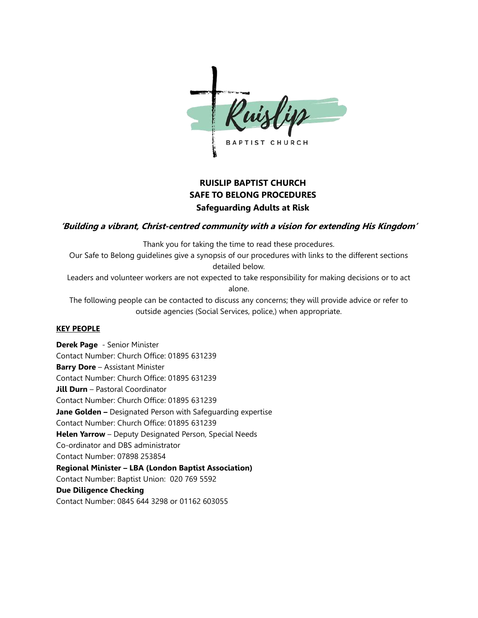

# **RUISLIP BAPTIST CHURCH SAFE TO BELONG PROCEDURES Safeguarding Adults at Risk**

### **'Building a vibrant, Christ-centred community with a vision for extending His Kingdom'**

Thank you for taking the time to read these procedures.

Our Safe to Belong guidelines give a synopsis of our procedures with links to the different sections detailed below.

Leaders and volunteer workers are not expected to take responsibility for making decisions or to act alone.

The following people can be contacted to discuss any concerns; they will provide advice or refer to outside agencies (Social Services, police,) when appropriate.

### **KEY PEOPLE**

**Derek Page** - Senior Minister Contact Number: Church Office: 01895 631239 **Barry Dore** – Assistant Minister Contact Number: Church Office: 01895 631239 **Jill Durn** – Pastoral Coordinator Contact Number: Church Office: 01895 631239 **Jane Golden –** Designated Person with Safeguarding expertise Contact Number: Church Office: 01895 631239 **Helen Yarrow** – Deputy Designated Person, Special Needs Co-ordinator and DBS administrator Contact Number: 07898 253854 **Regional Minister – LBA (London Baptist Association)** Contact Number: Baptist Union: 020 769 5592 **Due Diligence Checking** Contact Number: 0845 644 3298 or 01162 603055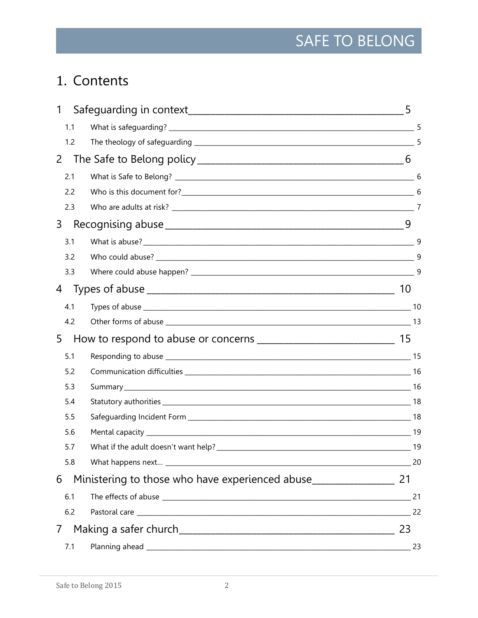# 1. Contents

| 1   |    |
|-----|----|
| 1.1 |    |
| 1.2 |    |
| 2   |    |
| 2.1 |    |
| 2.2 |    |
| 2.3 |    |
| 3   |    |
| 3.1 |    |
| 3.2 |    |
| 3.3 |    |
| 4   | 10 |
| 4.1 |    |
| 4.2 |    |
| 5   |    |
| 5.1 |    |
| 5.2 |    |
| 5.3 |    |
| 5.4 |    |
| 5.5 |    |
| 5.6 |    |
| 5.7 |    |
| 5.8 | 20 |
| 6   |    |
| 6.1 |    |
| 6.2 |    |
|     | 23 |
| 7.1 | 23 |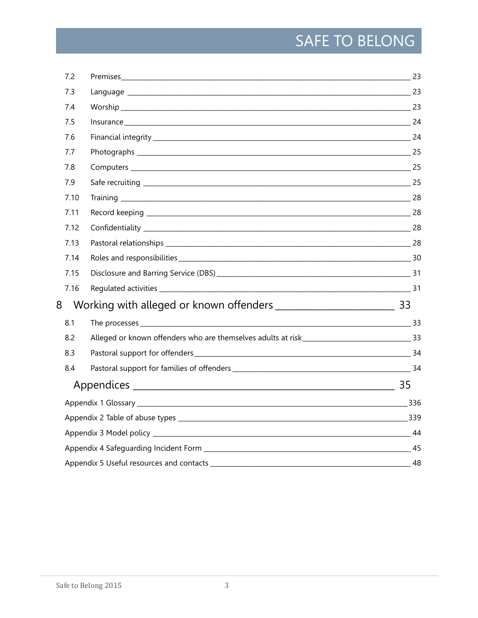| 7.2  |                  |  |
|------|------------------|--|
| 7.3  |                  |  |
| 7.4  |                  |  |
| 7.5  | Insurance 24     |  |
| 7.6  |                  |  |
| 7.7  |                  |  |
| 7.8  |                  |  |
| 7.9  |                  |  |
| 7.10 |                  |  |
| 7.11 |                  |  |
| 7.12 |                  |  |
| 7.13 |                  |  |
| 7.14 |                  |  |
| 7.15 |                  |  |
| 7.16 |                  |  |
| 8    |                  |  |
| 8.1  | The processes 33 |  |
| 8.2  |                  |  |
| 8.3  |                  |  |
| 8.4  |                  |  |
|      |                  |  |
|      |                  |  |
|      |                  |  |
|      |                  |  |
|      |                  |  |
|      |                  |  |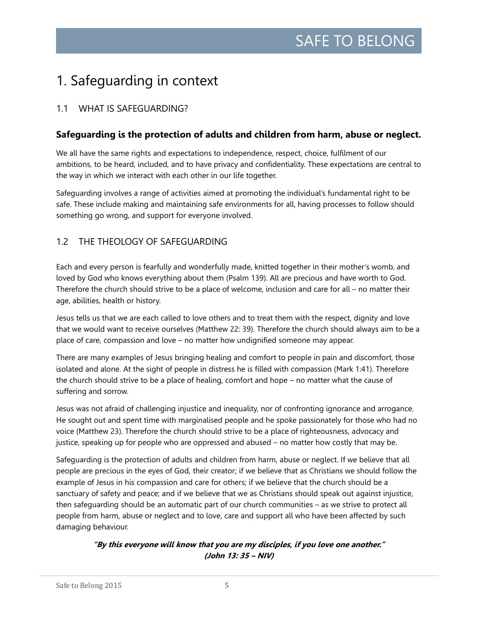# <span id="page-4-0"></span>1. Safeguarding in context

# <span id="page-4-1"></span>1.1 WHAT IS SAFEGUARDING?

# **Safeguarding is the protection of adults and children from harm, abuse or neglect.**

We all have the same rights and expectations to independence, respect, choice, fulfilment of our ambitions, to be heard, included, and to have privacy and confidentiality. These expectations are central to the way in which we interact with each other in our life together.

Safeguarding involves a range of activities aimed at promoting the individual's fundamental right to be safe. These include making and maintaining safe environments for all, having processes to follow should something go wrong, and support for everyone involved.

# <span id="page-4-2"></span>1.2 THE THEOLOGY OF SAFEGUARDING

Each and every person is fearfully and wonderfully made, knitted together in their mother's womb, and loved by God who knows everything about them (Psalm 139). All are precious and have worth to God. Therefore the church should strive to be a place of welcome, inclusion and care for all – no matter their age, abilities, health or history.

Jesus tells us that we are each called to love others and to treat them with the respect, dignity and love that we would want to receive ourselves (Matthew 22: 39). Therefore the church should always aim to be a place of care, compassion and love – no matter how undignified someone may appear.

There are many examples of Jesus bringing healing and comfort to people in pain and discomfort, those isolated and alone. At the sight of people in distress he is filled with compassion (Mark 1:41). Therefore the church should strive to be a place of healing, comfort and hope – no matter what the cause of suffering and sorrow.

Jesus was not afraid of challenging injustice and inequality, nor of confronting ignorance and arrogance. He sought out and spent time with marginalised people and he spoke passionately for those who had no voice (Matthew 23). Therefore the church should strive to be a place of righteousness, advocacy and justice, speaking up for people who are oppressed and abused – no matter how costly that may be.

Safeguarding is the protection of adults and children from harm, abuse or neglect. If we believe that all people are precious in the eyes of God, their creator; if we believe that as Christians we should follow the example of Jesus in his compassion and care for others; if we believe that the church should be a sanctuary of safety and peace; and if we believe that we as Christians should speak out against injustice, then safeguarding should be an automatic part of our church communities – as we strive to protect all people from harm, abuse or neglect and to love, care and support all who have been affected by such damaging behaviour.

### **"By this everyone will know that you are my disciples, if you love one another." (John 13: 35 – NIV)**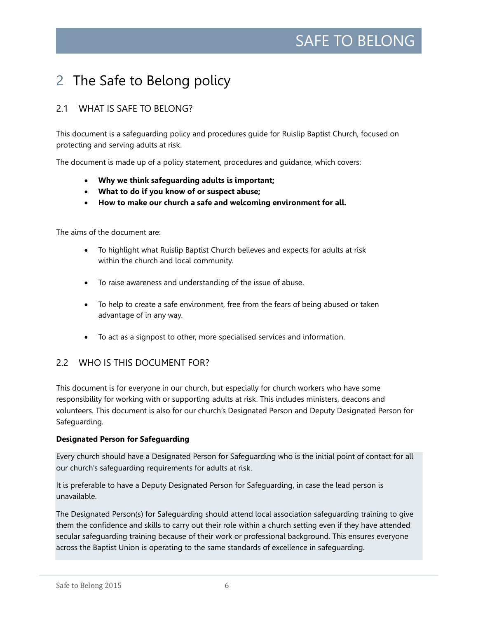# <span id="page-5-0"></span>2 The Safe to Belong policy

# <span id="page-5-1"></span>2.1 WHAT IS SAFE TO BELONG?

This document is a safeguarding policy and procedures guide for Ruislip Baptist Church, focused on protecting and serving adults at risk.

The document is made up of a policy statement, procedures and guidance, which covers:

- **Why we think safeguarding adults is important;**
- **What to do if you know of or suspect abuse;**
- **How to make our church a safe and welcoming environment for all.**

The aims of the document are:

- To highlight what Ruislip Baptist Church believes and expects for adults at risk within the church and local community.
- To raise awareness and understanding of the issue of abuse.
- To help to create a safe environment, free from the fears of being abused or taken advantage of in any way.
- To act as a signpost to other, more specialised services and information.

### <span id="page-5-2"></span>2.2 WHO IS THIS DOCUMENT FOR?

This document is for everyone in our church, but especially for church workers who have some responsibility for working with or supporting adults at risk. This includes ministers, deacons and volunteers. This document is also for our church's Designated Person and Deputy Designated Person for Safeguarding.

### **Designated Person for Safeguarding**

Every church should have a Designated Person for Safeguarding who is the initial point of contact for all our church's safeguarding requirements for adults at risk.

It is preferable to have a Deputy Designated Person for Safeguarding, in case the lead person is unavailable.

The Designated Person(s) for Safeguarding should attend local association safeguarding training to give them the confidence and skills to carry out their role within a church setting even if they have attended secular safeguarding training because of their work or professional background. This ensures everyone across the Baptist Union is operating to the same standards of excellence in safeguarding.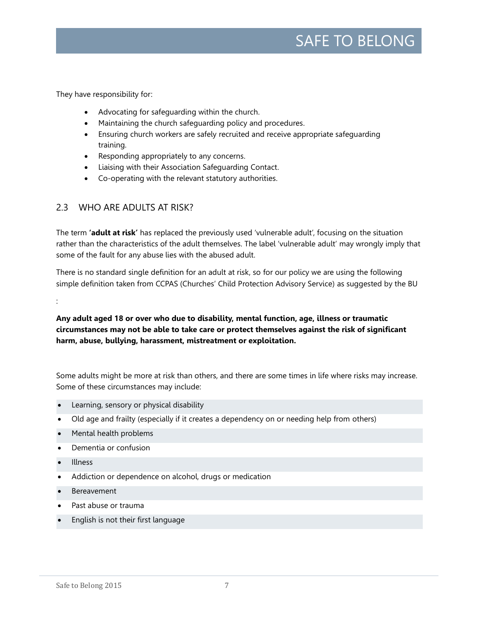They have responsibility for:

- Advocating for safeguarding within the church.
- Maintaining the church safeguarding policy and procedures.
- Ensuring church workers are safely recruited and receive appropriate safeguarding training.
- Responding appropriately to any concerns.
- Liaising with their Association Safeguarding Contact.
- Co-operating with the relevant statutory authorities.

# <span id="page-6-0"></span>2.3 WHO ARE ADULTS AT RISK?

The term **'adult at risk'** has replaced the previously used 'vulnerable adult', focusing on the situation rather than the characteristics of the adult themselves. The label 'vulnerable adult' may wrongly imply that some of the fault for any abuse lies with the abused adult.

There is no standard single definition for an adult at risk, so for our policy we are using the following simple definition taken from CCPAS (Churches' Child Protection Advisory Service) as suggested by the BU

:

**Any adult aged 18 or over who due to disability, mental function, age, illness or traumatic circumstances may not be able to take care or protect themselves against the risk of significant harm, abuse, bullying, harassment, mistreatment or exploitation.**

Some adults might be more at risk than others, and there are some times in life where risks may increase. Some of these circumstances may include:

- Learning, sensory or physical disability
- Old age and frailty (especially if it creates a dependency on or needing help from others)
- Mental health problems
- Dementia or confusion
- Illness
- Addiction or dependence on alcohol, drugs or medication
- Bereavement
- Past abuse or trauma
- English is not their first language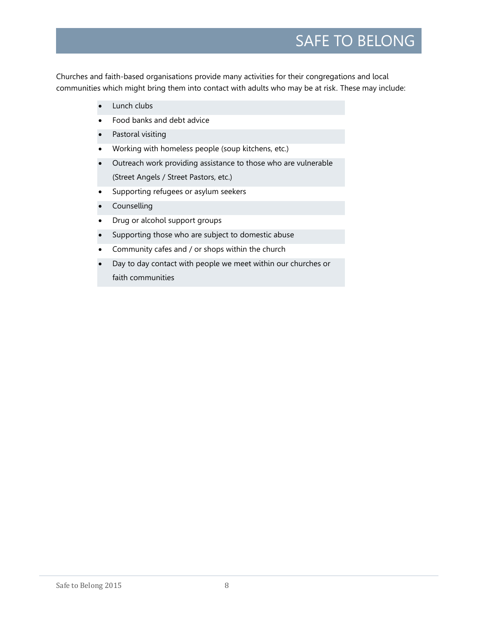Churches and faith-based organisations provide many activities for their congregations and local communities which might bring them into contact with adults who may be at risk. These may include:

- Lunch clubs
- Food banks and debt advice
- Pastoral visiting
- Working with homeless people (soup kitchens, etc.)
- Outreach work providing assistance to those who are vulnerable (Street Angels / Street Pastors, etc.)
- Supporting refugees or asylum seekers
- Counselling
- Drug or alcohol support groups
- Supporting those who are subject to domestic abuse
- Community cafes and / or shops within the church
- Day to day contact with people we meet within our churches or faith communities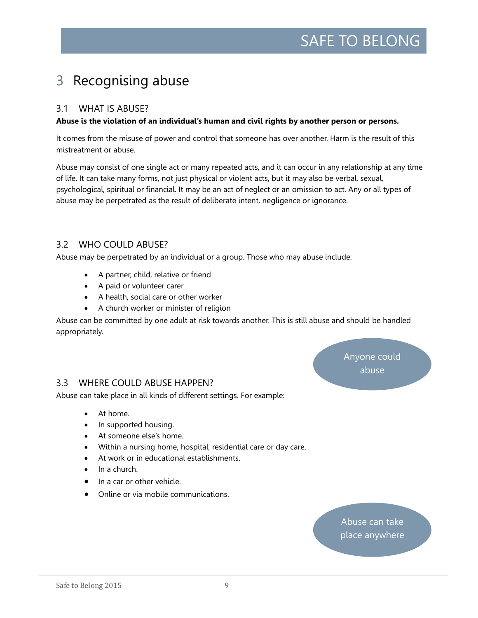# <span id="page-8-0"></span>3 Recognising abuse

### <span id="page-8-1"></span>3.1 WHAT IS ABUSE?

### **Abuse is the violation of an individual's human and civil rights by another person or persons.**

It comes from the misuse of power and control that someone has over another. Harm is the result of this mistreatment or abuse.

Abuse may consist of one single act or many repeated acts, and it can occur in any relationship at any time of life. It can take many forms, not just physical or violent acts, but it may also be verbal, sexual, psychological, spiritual or financial. It may be an act of neglect or an omission to act. Any or all types of abuse may be perpetrated as the result of deliberate intent, negligence or ignorance.

# <span id="page-8-2"></span>3.2 WHO COULD ABUSE?

Abuse may be perpetrated by an individual or a group. Those who may abuse include:

- A partner, child, relative or friend
- A paid or volunteer carer
- A health, social care or other worker
- A church worker or minister of religion

Abuse can be committed by one adult at risk towards another. This is still abuse and should be handled appropriately.

### <span id="page-8-3"></span>3.3 WHERE COULD ABUSE HAPPEN?

Abuse can take place in all kinds of different settings. For example:

- At home.
- In supported housing.
- At someone else's home.
- Within a nursing home, hospital, residential care or day care.
- At work or in educational establishments.
- In a church.
- In a car or other vehicle.
- Online or via mobile communications.

Abuse can take place anywhere

Anyone could abuse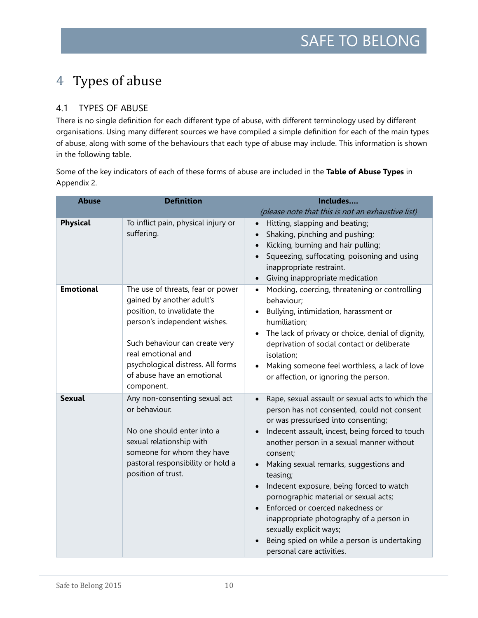# <span id="page-9-0"></span>4 Types of abuse

# <span id="page-9-1"></span>4.1 TYPES OF ABUSE

There is no single definition for each different type of abuse, with different terminology used by different organisations. Using many different sources we have compiled a simple definition for each of the main types of abuse, along with some of the behaviours that each type of abuse may include. This information is shown in the following table.

Some of the key indicators of each of these forms of abuse are included in the **Table of Abuse Types** in Appendix 2.

| <b>Abuse</b>     | <b>Definition</b>                                                                                                                                                                                                                                                      | Includes                                                                                                                                                                                                                                                                                                                                                                                                                                                                                                                                                                              |
|------------------|------------------------------------------------------------------------------------------------------------------------------------------------------------------------------------------------------------------------------------------------------------------------|---------------------------------------------------------------------------------------------------------------------------------------------------------------------------------------------------------------------------------------------------------------------------------------------------------------------------------------------------------------------------------------------------------------------------------------------------------------------------------------------------------------------------------------------------------------------------------------|
|                  |                                                                                                                                                                                                                                                                        | (please note that this is not an exhaustive list)                                                                                                                                                                                                                                                                                                                                                                                                                                                                                                                                     |
| <b>Physical</b>  | To inflict pain, physical injury or<br>suffering.                                                                                                                                                                                                                      | Hitting, slapping and beating;<br>Shaking, pinching and pushing;<br>Kicking, burning and hair pulling;<br>Squeezing, suffocating, poisoning and using<br>inappropriate restraint.<br>Giving inappropriate medication                                                                                                                                                                                                                                                                                                                                                                  |
| <b>Emotional</b> | The use of threats, fear or power<br>gained by another adult's<br>position, to invalidate the<br>person's independent wishes.<br>Such behaviour can create very<br>real emotional and<br>psychological distress. All forms<br>of abuse have an emotional<br>component. | Mocking, coercing, threatening or controlling<br>$\bullet$<br>behaviour;<br>Bullying, intimidation, harassment or<br>humiliation;<br>The lack of privacy or choice, denial of dignity,<br>deprivation of social contact or deliberate<br>isolation;<br>Making someone feel worthless, a lack of love<br>or affection, or ignoring the person.                                                                                                                                                                                                                                         |
| <b>Sexual</b>    | Any non-consenting sexual act<br>or behaviour.<br>No one should enter into a<br>sexual relationship with<br>someone for whom they have<br>pastoral responsibility or hold a<br>position of trust.                                                                      | Rape, sexual assault or sexual acts to which the<br>person has not consented, could not consent<br>or was pressurised into consenting;<br>Indecent assault, incest, being forced to touch<br>another person in a sexual manner without<br>consent;<br>Making sexual remarks, suggestions and<br>teasing;<br>Indecent exposure, being forced to watch<br>pornographic material or sexual acts;<br>Enforced or coerced nakedness or<br>inappropriate photography of a person in<br>sexually explicit ways;<br>Being spied on while a person is undertaking<br>personal care activities. |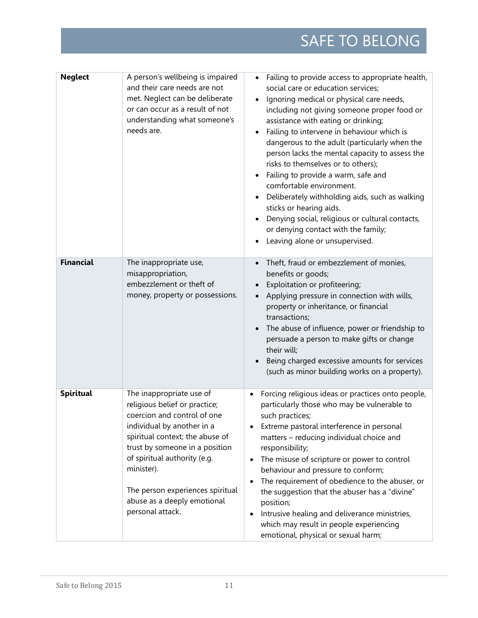| <b>Neglect</b>   | A person's wellbeing is impaired<br>and their care needs are not<br>met. Neglect can be deliberate<br>or can occur as a result of not<br>understanding what someone's<br>needs are.                                                                                                                                              | Failing to provide access to appropriate health,<br>social care or education services;<br>Ignoring medical or physical care needs,<br>including not giving someone proper food or<br>assistance with eating or drinking;<br>Failing to intervene in behaviour which is<br>$\bullet$<br>dangerous to the adult (particularly when the<br>person lacks the mental capacity to assess the<br>risks to themselves or to others);<br>Failing to provide a warm, safe and<br>comfortable environment.<br>Deliberately withholding aids, such as walking<br>sticks or hearing aids.<br>Denying social, religious or cultural contacts,<br>or denying contact with the family;<br>Leaving alone or unsupervised. |
|------------------|----------------------------------------------------------------------------------------------------------------------------------------------------------------------------------------------------------------------------------------------------------------------------------------------------------------------------------|----------------------------------------------------------------------------------------------------------------------------------------------------------------------------------------------------------------------------------------------------------------------------------------------------------------------------------------------------------------------------------------------------------------------------------------------------------------------------------------------------------------------------------------------------------------------------------------------------------------------------------------------------------------------------------------------------------|
| <b>Financial</b> | The inappropriate use,<br>misappropriation,<br>embezzlement or theft of<br>money, property or possessions.                                                                                                                                                                                                                       | Theft, fraud or embezzlement of monies,<br>benefits or goods;<br>Exploitation or profiteering;<br>Applying pressure in connection with wills,<br>property or inheritance, or financial<br>transactions;<br>The abuse of influence, power or friendship to<br>persuade a person to make gifts or change<br>their will;<br>Being charged excessive amounts for services<br>(such as minor building works on a property).                                                                                                                                                                                                                                                                                   |
| Spiritual        | The inappropriate use of<br>religious belief or practice;<br>coercion and control of one<br>individual by another in a<br>spiritual context; the abuse of<br>trust by someone in a position<br>of spiritual authority (e.g.<br>minister).<br>The person experiences spiritual<br>abuse as a deeply emotional<br>personal attack. | Forcing religious ideas or practices onto people,<br>particularly those who may be vulnerable to<br>such practices;<br>Extreme pastoral interference in personal<br>matters - reducing individual choice and<br>responsibility;<br>The misuse of scripture or power to control<br>behaviour and pressure to conform;<br>The requirement of obedience to the abuser, or<br>the suggestion that the abuser has a "divine"<br>position;<br>Intrusive healing and deliverance ministries,<br>which may result in people experiencing<br>emotional, physical or sexual harm;                                                                                                                                  |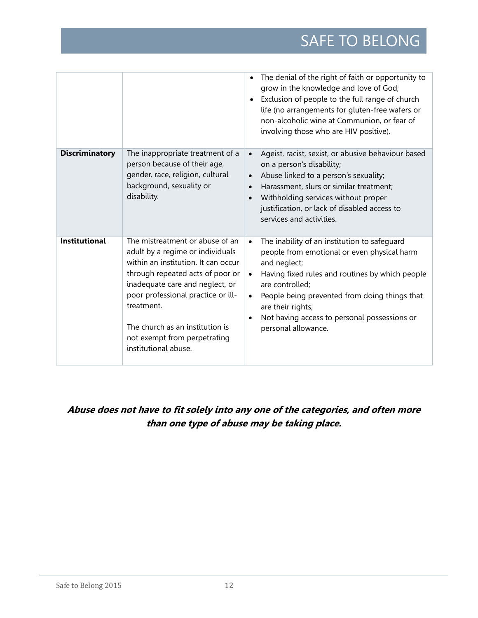|                       |                                                                                                                                                                                                                                                                                                                                  | The denial of the right of faith or opportunity to<br>grow in the knowledge and love of God;<br>Exclusion of people to the full range of church<br>life (no arrangements for gluten-free wafers or<br>non-alcoholic wine at Communion, or fear of<br>involving those who are HIV positive).                                                                                        |
|-----------------------|----------------------------------------------------------------------------------------------------------------------------------------------------------------------------------------------------------------------------------------------------------------------------------------------------------------------------------|------------------------------------------------------------------------------------------------------------------------------------------------------------------------------------------------------------------------------------------------------------------------------------------------------------------------------------------------------------------------------------|
| <b>Discriminatory</b> | The inappropriate treatment of a<br>person because of their age,<br>gender, race, religion, cultural<br>background, sexuality or<br>disability.                                                                                                                                                                                  | Ageist, racist, sexist, or abusive behaviour based<br>$\bullet$<br>on a person's disability;<br>Abuse linked to a person's sexuality;<br>$\bullet$<br>Harassment, slurs or similar treatment;<br>$\bullet$<br>Withholding services without proper<br>$\bullet$<br>justification, or lack of disabled access to<br>services and activities.                                         |
| <b>Institutional</b>  | The mistreatment or abuse of an<br>adult by a regime or individuals<br>within an institution. It can occur<br>through repeated acts of poor or<br>inadequate care and neglect, or<br>poor professional practice or ill-<br>treatment.<br>The church as an institution is<br>not exempt from perpetrating<br>institutional abuse. | The inability of an institution to safeguard<br>$\bullet$<br>people from emotional or even physical harm<br>and neglect;<br>Having fixed rules and routines by which people<br>$\bullet$<br>are controlled;<br>People being prevented from doing things that<br>$\bullet$<br>are their rights;<br>Not having access to personal possessions or<br>$\bullet$<br>personal allowance. |

# **Abuse does not have to fit solely into any one of the categories, and often more than one type of abuse may be taking place.**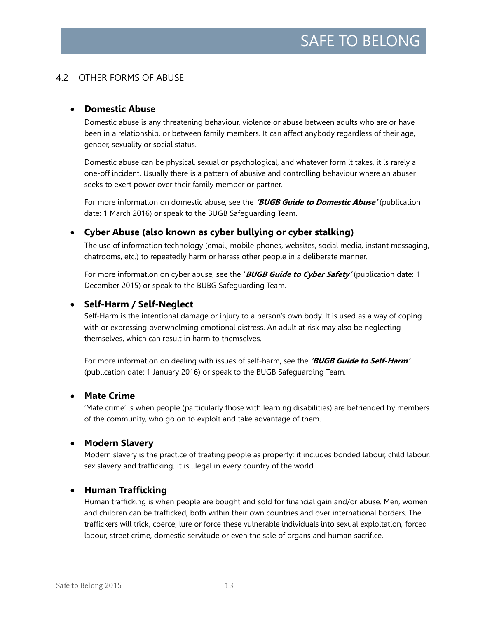## <span id="page-12-0"></span>4.2 OTHER FORMS OF ABUSE

### • **Domestic Abuse**

Domestic abuse is any threatening behaviour, violence or abuse between adults who are or have been in a relationship, or between family members. It can affect anybody regardless of their age, gender, sexuality or social status.

Domestic abuse can be physical, sexual or psychological, and whatever form it takes, it is rarely a one-off incident. Usually there is a pattern of abusive and controlling behaviour where an abuser seeks to exert power over their family member or partner.

For more information on domestic abuse, see the **'BUGB Guide to Domestic Abuse'** (publication date: 1 March 2016) or speak to the BUGB Safeguarding Team.

### • **Cyber Abuse (also known as cyber bullying or cyber stalking)**

The use of information technology (email, mobile phones, websites, social media, instant messaging, chatrooms, etc.) to repeatedly harm or harass other people in a deliberate manner.

For more information on cyber abuse, see the **'BUGB Guide to Cyber Safety'** (publication date: 1 December 2015) or speak to the BUBG Safeguarding Team.

### • **Self-Harm / Self-Neglect**

Self-Harm is the intentional damage or injury to a person's own body. It is used as a way of coping with or expressing overwhelming emotional distress. An adult at risk may also be neglecting themselves, which can result in harm to themselves.

For more information on dealing with issues of self-harm, see the **'BUGB Guide to Self-Harm'** (publication date: 1 January 2016) or speak to the BUGB Safeguarding Team.

### • **Mate Crime**

'Mate crime' is when people (particularly those with learning disabilities) are befriended by members of the community, who go on to exploit and take advantage of them.

### • **Modern Slavery**

Modern slavery is the practice of treating people as property; it includes bonded labour, child labour, sex slavery and trafficking. It is illegal in every country of the world.

### • **Human Trafficking**

Human trafficking is when people are bought and sold for financial gain and/or abuse. Men, women and children can be trafficked, both within their own countries and over international borders. The traffickers will trick, coerce, lure or force these vulnerable individuals into sexual exploitation, forced labour, street crime, domestic servitude or even the sale of organs and human sacrifice.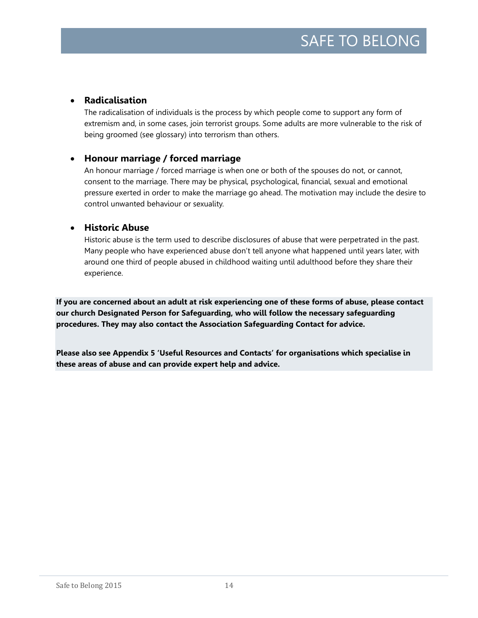## • **Radicalisation**

The radicalisation of individuals is the process by which people come to support any form of extremism and, in some cases, join terrorist groups. Some adults are more vulnerable to the risk of being groomed (see glossary) into terrorism than others.

# • **Honour marriage / forced marriage**

An honour marriage / forced marriage is when one or both of the spouses do not, or cannot, consent to the marriage. There may be physical, psychological, financial, sexual and emotional pressure exerted in order to make the marriage go ahead. The motivation may include the desire to control unwanted behaviour or sexuality.

### • **Historic Abuse**

Historic abuse is the term used to describe disclosures of abuse that were perpetrated in the past. Many people who have experienced abuse don't tell anyone what happened until years later, with around one third of people abused in childhood waiting until adulthood before they share their experience.

**If you are concerned about an adult at risk experiencing one of these forms of abuse, please contact our church Designated Person for Safeguarding, who will follow the necessary safeguarding procedures. They may also contact the Association Safeguarding Contact for advice.** 

**Please also see Appendix 5 'Useful Resources and Contacts' for organisations which specialise in these areas of abuse and can provide expert help and advice.**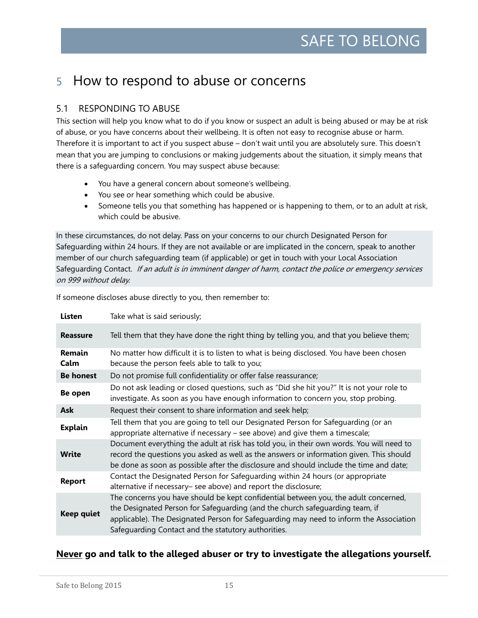# <span id="page-14-0"></span>5 How to respond to abuse or concerns

# <span id="page-14-1"></span>5.1 RESPONDING TO ABUSE

This section will help you know what to do if you know or suspect an adult is being abused or may be at risk of abuse, or you have concerns about their wellbeing. It is often not easy to recognise abuse or harm. Therefore it is important to act if you suspect abuse – don't wait until you are absolutely sure. This doesn't mean that you are jumping to conclusions or making judgements about the situation, it simply means that there is a safeguarding concern. You may suspect abuse because:

- You have a general concern about someone's wellbeing.
- You see or hear something which could be abusive.
- Someone tells you that something has happened or is happening to them, or to an adult at risk, which could be abusive.

In these circumstances, do not delay. Pass on your concerns to our church Designated Person for Safeguarding within 24 hours. If they are not available or are implicated in the concern, speak to another member of our church safeguarding team (if applicable) or get in touch with your Local Association Safeguarding Contact. If an adult is in imminent danger of harm, contact the police or emergency services on 999 without delay.

| <b>Listen</b>         | Take what is said seriously;                                                                                                                                                                                                                                                                                         |
|-----------------------|----------------------------------------------------------------------------------------------------------------------------------------------------------------------------------------------------------------------------------------------------------------------------------------------------------------------|
| <b>Reassure</b>       | Tell them that they have done the right thing by telling you, and that you believe them;                                                                                                                                                                                                                             |
| <b>Remain</b><br>Calm | No matter how difficult it is to listen to what is being disclosed. You have been chosen<br>because the person feels able to talk to you;                                                                                                                                                                            |
| <b>Be honest</b>      | Do not promise full confidentiality or offer false reassurance;                                                                                                                                                                                                                                                      |
| <b>Be open</b>        | Do not ask leading or closed questions, such as "Did she hit you?" It is not your role to<br>investigate. As soon as you have enough information to concern you, stop probing.                                                                                                                                       |
| <b>Ask</b>            | Request their consent to share information and seek help;                                                                                                                                                                                                                                                            |
| <b>Explain</b>        | Tell them that you are going to tell our Designated Person for Safeguarding (or an<br>appropriate alternative if necessary $-$ see above) and give them a timescale;                                                                                                                                                 |
| <b>Write</b>          | Document everything the adult at risk has told you, in their own words. You will need to<br>record the questions you asked as well as the answers or information given. This should<br>be done as soon as possible after the disclosure and should include the time and date;                                        |
| <b>Report</b>         | Contact the Designated Person for Safeguarding within 24 hours (or appropriate<br>alternative if necessary- see above) and report the disclosure;                                                                                                                                                                    |
| <b>Keep quiet</b>     | The concerns you have should be kept confidential between you, the adult concerned,<br>the Designated Person for Safeguarding (and the church safeguarding team, if<br>applicable). The Designated Person for Safeguarding may need to inform the Association<br>Safeguarding Contact and the statutory authorities. |

If someone discloses abuse directly to you, then remember to:

### **Never go and talk to the alleged abuser or try to investigate the allegations yourself.**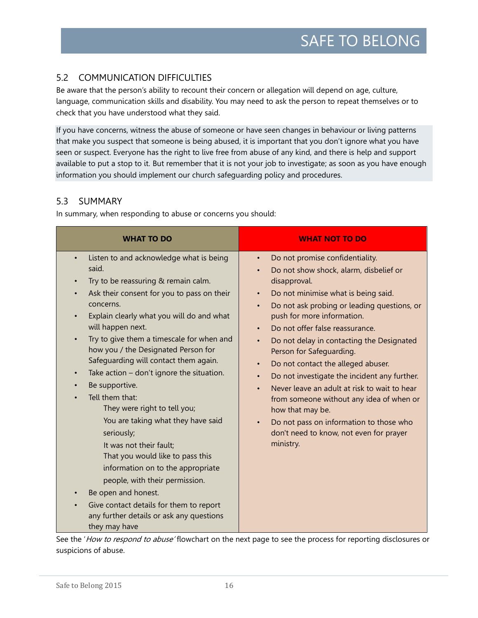# <span id="page-15-0"></span>5.2 COMMUNICATION DIFFICULTIES

Be aware that the person's ability to recount their concern or allegation will depend on age, culture, language, communication skills and disability. You may need to ask the person to repeat themselves or to check that you have understood what they said.

If you have concerns, witness the abuse of someone or have seen changes in behaviour or living patterns that make you suspect that someone is being abused, it is important that you don't ignore what you have seen or suspect. Everyone has the right to live free from abuse of any kind, and there is help and support available to put a stop to it. But remember that it is not your job to investigate; as soon as you have enough information you should implement our church safeguarding policy and procedures.

# <span id="page-15-1"></span>5.3 SUMMARY

In summary, when responding to abuse or concerns you should:

| <b>WHAT TO DO</b>                                                                                                                                                                                                                                                                                                                                                                                                                                                                                                                                                                                                                                                                                                                                                                                                                                                          | <b>WHAT NOT TO DO</b>                                                                                                                                                                                                                                                                                                                                                                                                                                                                                                                                                                                                                                                                                                                                   |
|----------------------------------------------------------------------------------------------------------------------------------------------------------------------------------------------------------------------------------------------------------------------------------------------------------------------------------------------------------------------------------------------------------------------------------------------------------------------------------------------------------------------------------------------------------------------------------------------------------------------------------------------------------------------------------------------------------------------------------------------------------------------------------------------------------------------------------------------------------------------------|---------------------------------------------------------------------------------------------------------------------------------------------------------------------------------------------------------------------------------------------------------------------------------------------------------------------------------------------------------------------------------------------------------------------------------------------------------------------------------------------------------------------------------------------------------------------------------------------------------------------------------------------------------------------------------------------------------------------------------------------------------|
| Listen to and acknowledge what is being<br>$\bullet$<br>said.<br>Try to be reassuring & remain calm.<br>$\bullet$<br>Ask their consent for you to pass on their<br>concerns.<br>Explain clearly what you will do and what<br>will happen next.<br>Try to give them a timescale for when and<br>$\bullet$<br>how you / the Designated Person for<br>Safeguarding will contact them again.<br>Take action - don't ignore the situation.<br>$\bullet$<br>Be supportive.<br>Tell them that:<br>They were right to tell you;<br>You are taking what they have said<br>seriously;<br>It was not their fault;<br>That you would like to pass this<br>information on to the appropriate<br>people, with their permission.<br>Be open and honest.<br>$\bullet$<br>Give contact details for them to report<br>$\bullet$<br>any further details or ask any questions<br>they may have | Do not promise confidentiality.<br>$\bullet$<br>Do not show shock, alarm, disbelief or<br>$\bullet$<br>disapproval.<br>Do not minimise what is being said.<br>$\bullet$<br>Do not ask probing or leading questions, or<br>$\bullet$<br>push for more information.<br>Do not offer false reassurance.<br>Do not delay in contacting the Designated<br>$\bullet$<br>Person for Safeguarding.<br>Do not contact the alleged abuser.<br>$\bullet$<br>Do not investigate the incident any further.<br>$\bullet$<br>Never leave an adult at risk to wait to hear<br>$\bullet$<br>from someone without any idea of when or<br>how that may be.<br>Do not pass on information to those who<br>$\bullet$<br>don't need to know, not even for prayer<br>ministry. |

See the 'How to respond to abuse' flowchart on the next page to see the process for reporting disclosures or suspicions of abuse.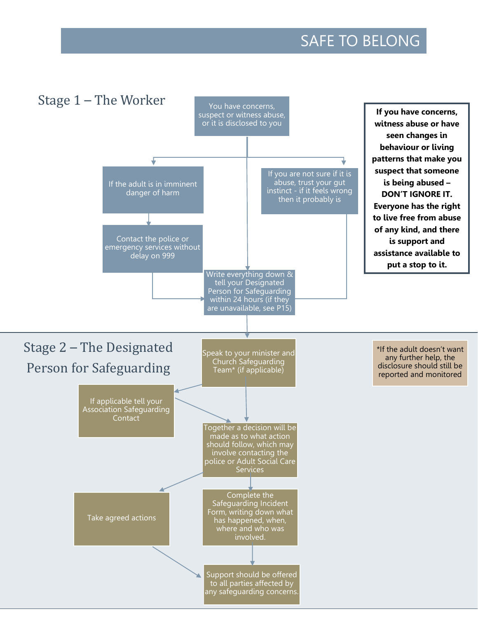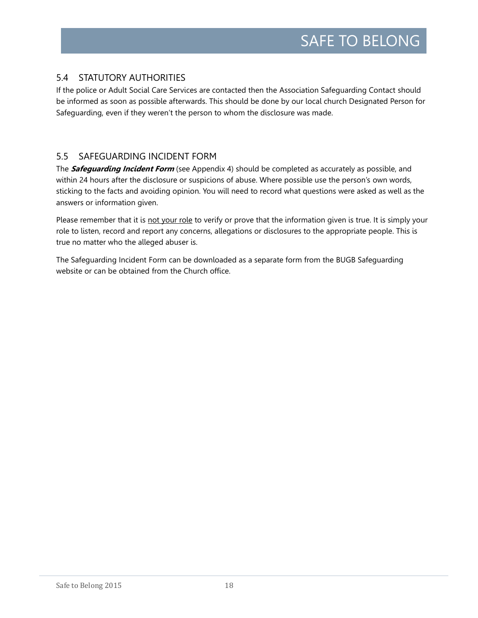# <span id="page-17-0"></span>5.4 STATUTORY AUTHORITIES

If the police or Adult Social Care Services are contacted then the Association Safeguarding Contact should be informed as soon as possible afterwards. This should be done by our local church Designated Person for Safeguarding, even if they weren't the person to whom the disclosure was made.

## <span id="page-17-1"></span>5.5 SAFEGUARDING INCIDENT FORM

The **Safeguarding Incident Form** (see Appendix 4) should be completed as accurately as possible, and within 24 hours after the disclosure or suspicions of abuse. Where possible use the person's own words, sticking to the facts and avoiding opinion. You will need to record what questions were asked as well as the answers or information given.

Please remember that it is not your role to verify or prove that the information given is true. It is simply your role to listen, record and report any concerns, allegations or disclosures to the appropriate people. This is true no matter who the alleged abuser is.

The Safeguarding Incident Form can be downloaded as a separate form from the BUGB Safeguarding website or can be obtained from the Church office.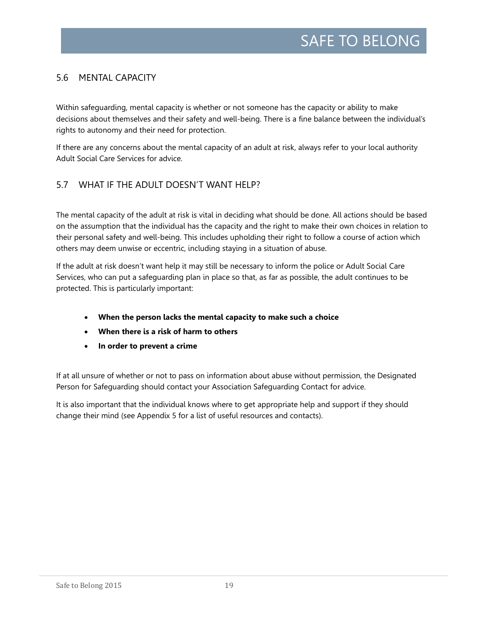# <span id="page-18-0"></span>5.6 MENTAL CAPACITY

Within safeguarding, mental capacity is whether or not someone has the capacity or ability to make decisions about themselves and their safety and well-being. There is a fine balance between the individual's rights to autonomy and their need for protection.

If there are any concerns about the mental capacity of an adult at risk, always refer to your local authority Adult Social Care Services for advice.

### <span id="page-18-1"></span>5.7 WHAT IF THE ADULT DOESN'T WANT HELP?

The mental capacity of the adult at risk is vital in deciding what should be done. All actions should be based on the assumption that the individual has the capacity and the right to make their own choices in relation to their personal safety and well-being. This includes upholding their right to follow a course of action which others may deem unwise or eccentric, including staying in a situation of abuse.

If the adult at risk doesn't want help it may still be necessary to inform the police or Adult Social Care Services, who can put a safeguarding plan in place so that, as far as possible, the adult continues to be protected. This is particularly important:

- **When the person lacks the mental capacity to make such a choice**
- **When there is a risk of harm to others**
- **In order to prevent a crime**

If at all unsure of whether or not to pass on information about abuse without permission, the Designated Person for Safeguarding should contact your Association Safeguarding Contact for advice.

It is also important that the individual knows where to get appropriate help and support if they should change their mind (see Appendix 5 for a list of useful resources and contacts).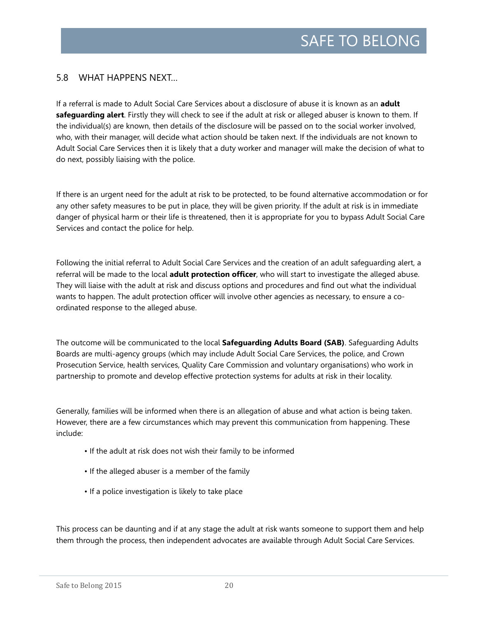### <span id="page-19-0"></span>5.8 WHAT HAPPENS NEXT…

If a referral is made to Adult Social Care Services about a disclosure of abuse it is known as an **adult safeguarding alert**. Firstly they will check to see if the adult at risk or alleged abuser is known to them. If the individual(s) are known, then details of the disclosure will be passed on to the social worker involved, who, with their manager, will decide what action should be taken next. If the individuals are not known to Adult Social Care Services then it is likely that a duty worker and manager will make the decision of what to do next, possibly liaising with the police.

If there is an urgent need for the adult at risk to be protected, to be found alternative accommodation or for any other safety measures to be put in place, they will be given priority. If the adult at risk is in immediate danger of physical harm or their life is threatened, then it is appropriate for you to bypass Adult Social Care Services and contact the police for help.

Following the initial referral to Adult Social Care Services and the creation of an adult safeguarding alert, a referral will be made to the local **adult protection officer**, who will start to investigate the alleged abuse. They will liaise with the adult at risk and discuss options and procedures and find out what the individual wants to happen. The adult protection officer will involve other agencies as necessary, to ensure a coordinated response to the alleged abuse.

The outcome will be communicated to the local **Safeguarding Adults Board (SAB)**. Safeguarding Adults Boards are multi-agency groups (which may include Adult Social Care Services, the police, and Crown Prosecution Service, health services, Quality Care Commission and voluntary organisations) who work in partnership to promote and develop effective protection systems for adults at risk in their locality.

Generally, families will be informed when there is an allegation of abuse and what action is being taken. However, there are a few circumstances which may prevent this communication from happening. These include:

- If the adult at risk does not wish their family to be informed
- If the alleged abuser is a member of the family
- If a police investigation is likely to take place

This process can be daunting and if at any stage the adult at risk wants someone to support them and help them through the process, then independent advocates are available through Adult Social Care Services.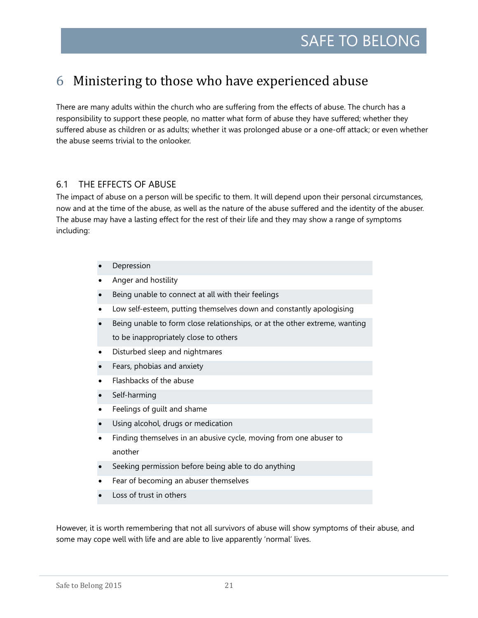# <span id="page-20-0"></span>6 Ministering to those who have experienced abuse

There are many adults within the church who are suffering from the effects of abuse. The church has a responsibility to support these people, no matter what form of abuse they have suffered; whether they suffered abuse as children or as adults; whether it was prolonged abuse or a one-off attack; or even whether the abuse seems trivial to the onlooker.

### <span id="page-20-1"></span>6.1 THE EFFECTS OF ABUSE

The impact of abuse on a person will be specific to them. It will depend upon their personal circumstances, now and at the time of the abuse, as well as the nature of the abuse suffered and the identity of the abuser. The abuse may have a lasting effect for the rest of their life and they may show a range of symptoms including:

- **Depression**
- Anger and hostility
- Being unable to connect at all with their feelings
- Low self-esteem, putting themselves down and constantly apologising
- Being unable to form close relationships, or at the other extreme, wanting to be inappropriately close to others
- Disturbed sleep and nightmares
- Fears, phobias and anxiety
- Flashbacks of the abuse
- Self-harming
- Feelings of guilt and shame
- Using alcohol, drugs or medication
- Finding themselves in an abusive cycle, moving from one abuser to another
- Seeking permission before being able to do anything
- Fear of becoming an abuser themselves
- Loss of trust in others

However, it is worth remembering that not all survivors of abuse will show symptoms of their abuse, and some may cope well with life and are able to live apparently 'normal' lives.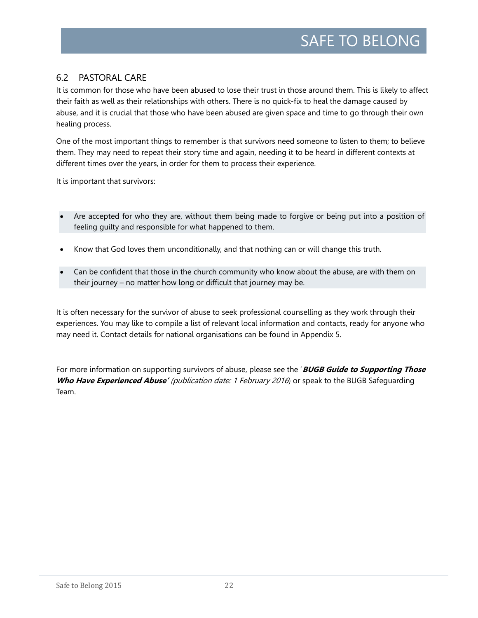# <span id="page-21-0"></span>6.2 PASTORAL CARE

It is common for those who have been abused to lose their trust in those around them. This is likely to affect their faith as well as their relationships with others. There is no quick-fix to heal the damage caused by abuse, and it is crucial that those who have been abused are given space and time to go through their own healing process.

One of the most important things to remember is that survivors need someone to listen to them; to believe them. They may need to repeat their story time and again, needing it to be heard in different contexts at different times over the years, in order for them to process their experience.

It is important that survivors:

- Are accepted for who they are, without them being made to forgive or being put into a position of feeling guilty and responsible for what happened to them.
- Know that God loves them unconditionally, and that nothing can or will change this truth.
- Can be confident that those in the church community who know about the abuse, are with them on their journey – no matter how long or difficult that journey may be.

It is often necessary for the survivor of abuse to seek professional counselling as they work through their experiences. You may like to compile a list of relevant local information and contacts, ready for anyone who may need it. Contact details for national organisations can be found in Appendix 5.

For more information on supporting survivors of abuse, please see the '**BUGB Guide to Supporting Those Who Have Experienced Abuse'** (publication date: 1 February 2016) or speak to the BUGB Safeguarding Team.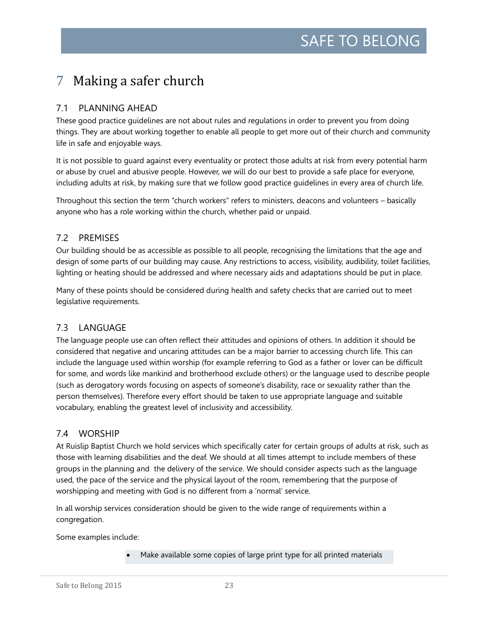# <span id="page-22-0"></span>7 Making a safer church

# <span id="page-22-1"></span>7.1 PLANNING AHEAD

These good practice guidelines are not about rules and regulations in order to prevent you from doing things. They are about working together to enable all people to get more out of their church and community life in safe and enjoyable ways.

It is not possible to guard against every eventuality or protect those adults at risk from every potential harm or abuse by cruel and abusive people. However, we will do our best to provide a safe place for everyone, including adults at risk, by making sure that we follow good practice guidelines in every area of church life.

Throughout this section the term "church workers" refers to ministers, deacons and volunteers – basically anyone who has a role working within the church, whether paid or unpaid.

# <span id="page-22-2"></span>7.2 PREMISES

Our building should be as accessible as possible to all people, recognising the limitations that the age and design of some parts of our building may cause. Any restrictions to access, visibility, audibility, toilet facilities, lighting or heating should be addressed and where necessary aids and adaptations should be put in place.

Many of these points should be considered during health and safety checks that are carried out to meet legislative requirements.

# <span id="page-22-3"></span>7.3 LANGUAGE

The language people use can often reflect their attitudes and opinions of others. In addition it should be considered that negative and uncaring attitudes can be a major barrier to accessing church life. This can include the language used within worship (for example referring to God as a father or lover can be difficult for some, and words like mankind and brotherhood exclude others) or the language used to describe people (such as derogatory words focusing on aspects of someone's disability, race or sexuality rather than the person themselves). Therefore every effort should be taken to use appropriate language and suitable vocabulary, enabling the greatest level of inclusivity and accessibility.

# <span id="page-22-4"></span>7.4 WORSHIP

At Ruislip Baptist Church we hold services which specifically cater for certain groups of adults at risk, such as those with learning disabilities and the deaf. We should at all times attempt to include members of these groups in the planning and the delivery of the service. We should consider aspects such as the language used, the pace of the service and the physical layout of the room, remembering that the purpose of worshipping and meeting with God is no different from a 'normal' service.

In all worship services consideration should be given to the wide range of requirements within a congregation.

Some examples include:

• Make available some copies of large print type for all printed materials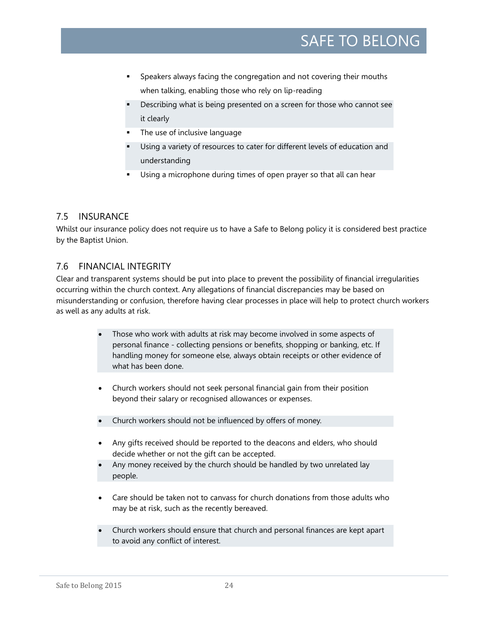- Speakers always facing the congregation and not covering their mouths when talking, enabling those who rely on lip-reading
- Describing what is being presented on a screen for those who cannot see it clearly
- The use of inclusive language
- Using a variety of resources to cater for different levels of education and understanding
- Using a microphone during times of open prayer so that all can hear

# <span id="page-23-0"></span>7.5 INSURANCE

<span id="page-23-1"></span>Whilst our insurance policy does not require us to have a Safe to Belong policy it is considered best practice by the Baptist Union.

# 7.6 FINANCIAL INTEGRITY

Clear and transparent systems should be put into place to prevent the possibility of financial irregularities occurring within the church context. Any allegations of financial discrepancies may be based on misunderstanding or confusion, therefore having clear processes in place will help to protect church workers as well as any adults at risk.

- Those who work with adults at risk may become involved in some aspects of personal finance - collecting pensions or benefits, shopping or banking, etc. If handling money for someone else, always obtain receipts or other evidence of what has been done.
- Church workers should not seek personal financial gain from their position beyond their salary or recognised allowances or expenses.
- Church workers should not be influenced by offers of money.
- Any gifts received should be reported to the deacons and elders, who should decide whether or not the gift can be accepted.
- Any money received by the church should be handled by two unrelated lay people.
- Care should be taken not to canvass for church donations from those adults who may be at risk, such as the recently bereaved.
- Church workers should ensure that church and personal finances are kept apart to avoid any conflict of interest.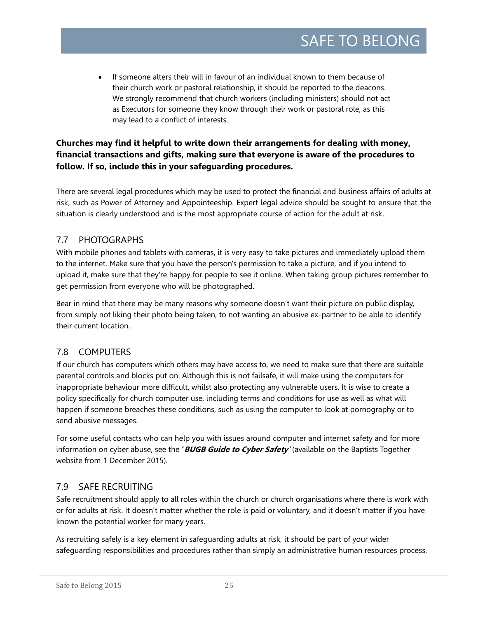• If someone alters their will in favour of an individual known to them because of their church work or pastoral relationship, it should be reported to the deacons. We strongly recommend that church workers (including ministers) should not act as Executors for someone they know through their work or pastoral role, as this may lead to a conflict of interests.

# **Churches may find it helpful to write down their arrangements for dealing with money, financial transactions and gifts, making sure that everyone is aware of the procedures to follow. If so, include this in your safeguarding procedures.**

There are several legal procedures which may be used to protect the financial and business affairs of adults at risk, such as Power of Attorney and Appointeeship. Expert legal advice should be sought to ensure that the situation is clearly understood and is the most appropriate course of action for the adult at risk.

# <span id="page-24-0"></span>7.7 PHOTOGRAPHS

With mobile phones and tablets with cameras, it is very easy to take pictures and immediately upload them to the internet. Make sure that you have the person's permission to take a picture, and if you intend to upload it, make sure that they're happy for people to see it online. When taking group pictures remember to get permission from everyone who will be photographed.

Bear in mind that there may be many reasons why someone doesn't want their picture on public display, from simply not liking their photo being taken, to not wanting an abusive ex-partner to be able to identify their current location.

# <span id="page-24-1"></span>7.8 COMPUTERS

If our church has computers which others may have access to, we need to make sure that there are suitable parental controls and blocks put on. Although this is not failsafe, it will make using the computers for inappropriate behaviour more difficult, whilst also protecting any vulnerable users. It is wise to create a policy specifically for church computer use, including terms and conditions for use as well as what will happen if someone breaches these conditions, such as using the computer to look at pornography or to send abusive messages.

For some useful contacts who can help you with issues around computer and internet safety and for more information on cyber abuse, see the **'BUGB Guide to Cyber Safety'** (available on the Baptists Together website from 1 December 2015).

# <span id="page-24-2"></span>7.9 SAFE RECRUITING

Safe recruitment should apply to all roles within the church or church organisations where there is work with or for adults at risk. It doesn't matter whether the role is paid or voluntary, and it doesn't matter if you have known the potential worker for many years.

As recruiting safely is a key element in safeguarding adults at risk, it should be part of your wider safeguarding responsibilities and procedures rather than simply an administrative human resources process.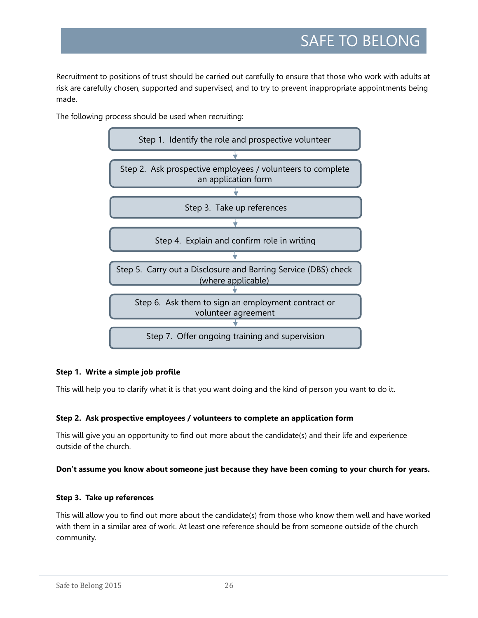Recruitment to positions of trust should be carried out carefully to ensure that those who work with adults at risk are carefully chosen, supported and supervised, and to try to prevent inappropriate appointments being made.

The following process should be used when recruiting:



### **Step 1. Write a simple job profile**

This will help you to clarify what it is that you want doing and the kind of person you want to do it.

### **Step 2. Ask prospective employees / volunteers to complete an application form**

This will give you an opportunity to find out more about the candidate(s) and their life and experience outside of the church.

### **Don't assume you know about someone just because they have been coming to your church for years.**

### **Step 3. Take up references**

This will allow you to find out more about the candidate(s) from those who know them well and have worked with them in a similar area of work. At least one reference should be from someone outside of the church community.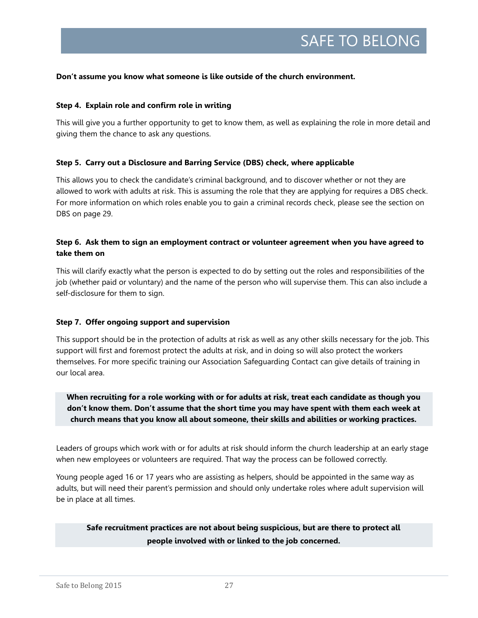#### **Don't assume you know what someone is like outside of the church environment.**

#### **Step 4. Explain role and confirm role in writing**

This will give you a further opportunity to get to know them, as well as explaining the role in more detail and giving them the chance to ask any questions.

#### **Step 5. Carry out a Disclosure and Barring Service (DBS) check, where applicable**

This allows you to check the candidate's criminal background, and to discover whether or not they are allowed to work with adults at risk. This is assuming the role that they are applying for requires a DBS check. For more information on which roles enable you to gain a criminal records check, please see the section on DBS on page 29.

### **Step 6. Ask them to sign an employment contract or volunteer agreement when you have agreed to take them on**

This will clarify exactly what the person is expected to do by setting out the roles and responsibilities of the job (whether paid or voluntary) and the name of the person who will supervise them. This can also include a self-disclosure for them to sign.

#### **Step 7. Offer ongoing support and supervision**

This support should be in the protection of adults at risk as well as any other skills necessary for the job. This support will first and foremost protect the adults at risk, and in doing so will also protect the workers themselves. For more specific training our Association Safeguarding Contact can give details of training in our local area.

**When recruiting for a role working with or for adults at risk, treat each candidate as though you don't know them. Don't assume that the short time you may have spent with them each week at church means that you know all about someone, their skills and abilities or working practices.** 

Leaders of groups which work with or for adults at risk should inform the church leadership at an early stage when new employees or volunteers are required. That way the process can be followed correctly.

Young people aged 16 or 17 years who are assisting as helpers, should be appointed in the same way as adults, but will need their parent's permission and should only undertake roles where adult supervision will be in place at all times.

**Safe recruitment practices are not about being suspicious, but are there to protect all people involved with or linked to the job concerned.**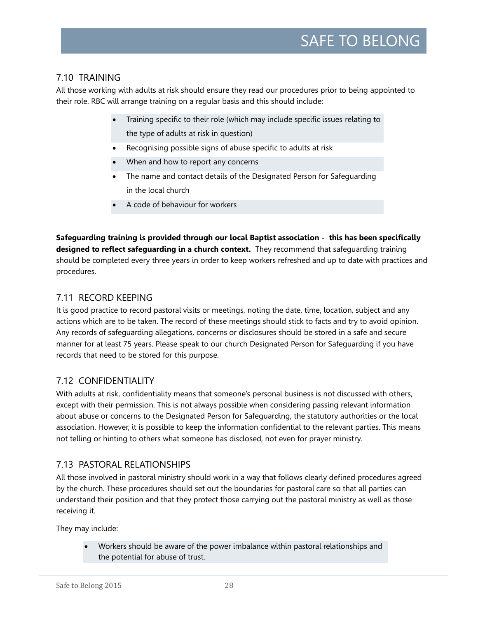# <span id="page-27-0"></span>7.10 TRAINING

All those working with adults at risk should ensure they read our procedures prior to being appointed to their role. RBC will arrange training on a regular basis and this should include:

- Training specific to their role (which may include specific issues relating to the type of adults at risk in question)
- Recognising possible signs of abuse specific to adults at risk
- When and how to report any concerns
- The name and contact details of the Designated Person for Safeguarding in the local church
- A code of behaviour for workers

**Safeguarding training is provided through our local Baptist association - this has been specifically designed to reflect safeguarding in a church context.** They recommend that safeguarding training should be completed every three years in order to keep workers refreshed and up to date with practices and procedures.

# <span id="page-27-1"></span>7.11 RECORD KEEPING

It is good practice to record pastoral visits or meetings, noting the date, time, location, subject and any actions which are to be taken. The record of these meetings should stick to facts and try to avoid opinion. Any records of safeguarding allegations, concerns or disclosures should be stored in a safe and secure manner for at least 75 years. Please speak to our church Designated Person for Safeguarding if you have records that need to be stored for this purpose.

# <span id="page-27-2"></span>7.12 CONFIDENTIALITY

With adults at risk, confidentiality means that someone's personal business is not discussed with others, except with their permission. This is not always possible when considering passing relevant information about abuse or concerns to the Designated Person for Safeguarding, the statutory authorities or the local association. However, it is possible to keep the information confidential to the relevant parties. This means not telling or hinting to others what someone has disclosed, not even for prayer ministry.

# <span id="page-27-3"></span>7.13 PASTORAL RELATIONSHIPS

All those involved in pastoral ministry should work in a way that follows clearly defined procedures agreed by the church. These procedures should set out the boundaries for pastoral care so that all parties can understand their position and that they protect those carrying out the pastoral ministry as well as those receiving it.

They may include:

• Workers should be aware of the power imbalance within pastoral relationships and the potential for abuse of trust.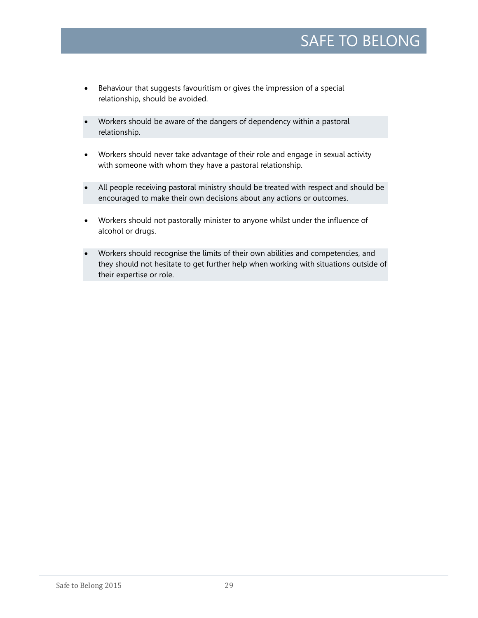- Behaviour that suggests favouritism or gives the impression of a special relationship, should be avoided.
- Workers should be aware of the dangers of dependency within a pastoral relationship.
- Workers should never take advantage of their role and engage in sexual activity with someone with whom they have a pastoral relationship.
- All people receiving pastoral ministry should be treated with respect and should be encouraged to make their own decisions about any actions or outcomes.
- Workers should not pastorally minister to anyone whilst under the influence of alcohol or drugs.
- <span id="page-28-0"></span>• Workers should recognise the limits of their own abilities and competencies, and they should not hesitate to get further help when working with situations outside of their expertise or role.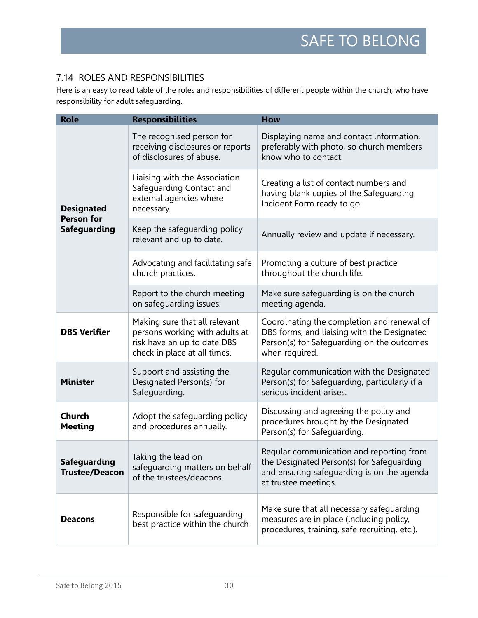# 7.14 ROLES AND RESPONSIBILITIES

Here is an easy to read table of the roles and responsibilities of different people within the church, who have responsibility for adult safeguarding.

| <b>Role</b>                                                                               | <b>Responsibilities</b>                                                                                                        | <b>How</b>                                                                                                                                                  |
|-------------------------------------------------------------------------------------------|--------------------------------------------------------------------------------------------------------------------------------|-------------------------------------------------------------------------------------------------------------------------------------------------------------|
|                                                                                           | The recognised person for<br>receiving disclosures or reports<br>of disclosures of abuse.                                      | Displaying name and contact information,<br>preferably with photo, so church members<br>know who to contact.                                                |
| <b>Designated</b>                                                                         | Liaising with the Association<br>Safeguarding Contact and<br>external agencies where<br>necessary.                             | Creating a list of contact numbers and<br>having blank copies of the Safeguarding<br>Incident Form ready to go.                                             |
| <b>Person for</b><br><b>Safeguarding</b>                                                  | Keep the safeguarding policy<br>relevant and up to date.                                                                       | Annually review and update if necessary.                                                                                                                    |
|                                                                                           | Advocating and facilitating safe<br>church practices.                                                                          | Promoting a culture of best practice<br>throughout the church life.                                                                                         |
|                                                                                           | Report to the church meeting<br>on safequarding issues.                                                                        | Make sure safeguarding is on the church<br>meeting agenda.                                                                                                  |
| <b>DBS Verifier</b>                                                                       | Making sure that all relevant<br>persons working with adults at<br>risk have an up to date DBS<br>check in place at all times. | Coordinating the completion and renewal of<br>DBS forms, and liaising with the Designated<br>Person(s) for Safeguarding on the outcomes<br>when required.   |
| Support and assisting the<br>Designated Person(s) for<br><b>Minister</b><br>Safeguarding. |                                                                                                                                | Regular communication with the Designated<br>Person(s) for Safeguarding, particularly if a<br>serious incident arises.                                      |
| <b>Church</b><br><b>Meeting</b>                                                           | Adopt the safeguarding policy<br>and procedures annually.                                                                      | Discussing and agreeing the policy and<br>procedures brought by the Designated<br>Person(s) for Safeguarding.                                               |
| <b>Safeguarding</b><br><b>Trustee/Deacon</b>                                              | Taking the lead on<br>safequarding matters on behalf<br>of the trustees/deacons.                                               | Regular communication and reporting from<br>the Designated Person(s) for Safeguarding<br>and ensuring safeguarding is on the agenda<br>at trustee meetings. |
| <b>Deacons</b>                                                                            | Responsible for safeguarding<br>best practice within the church                                                                | Make sure that all necessary safeguarding<br>measures are in place (including policy,<br>procedures, training, safe recruiting, etc.).                      |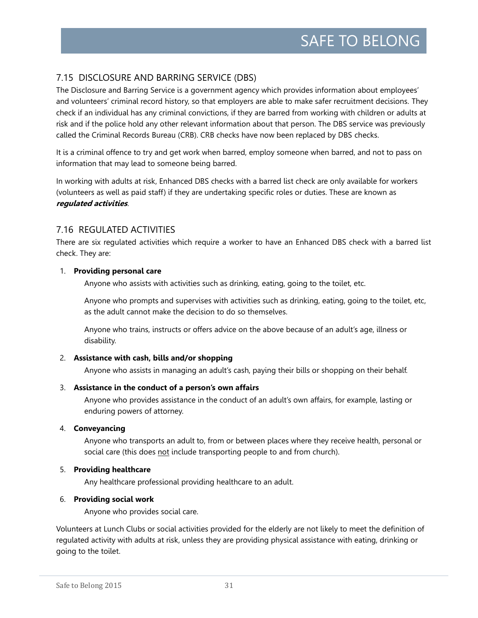# <span id="page-30-0"></span>7.15 DISCLOSURE AND BARRING SERVICE (DBS)

The Disclosure and Barring Service is a government agency which provides information about employees' and volunteers' criminal record history, so that employers are able to make safer recruitment decisions. They check if an individual has any criminal convictions, if they are barred from working with children or adults at risk and if the police hold any other relevant information about that person. The DBS service was previously called the Criminal Records Bureau (CRB). CRB checks have now been replaced by DBS checks.

It is a criminal offence to try and get work when barred, employ someone when barred, and not to pass on information that may lead to someone being barred.

In working with adults at risk, Enhanced DBS checks with a barred list check are only available for workers (volunteers as well as paid staff) if they are undertaking specific roles or duties. These are known as **regulated activities**.

### <span id="page-30-1"></span>7.16 REGULATED ACTIVITIES

There are six regulated activities which require a worker to have an Enhanced DBS check with a barred list check. They are:

### 1. **Providing personal care**

Anyone who assists with activities such as drinking, eating, going to the toilet, etc.

Anyone who prompts and supervises with activities such as drinking, eating, going to the toilet, etc, as the adult cannot make the decision to do so themselves.

Anyone who trains, instructs or offers advice on the above because of an adult's age, illness or disability.

### 2. **Assistance with cash, bills and/or shopping**

Anyone who assists in managing an adult's cash, paying their bills or shopping on their behalf.

### 3. **Assistance in the conduct of a person's own affairs**

Anyone who provides assistance in the conduct of an adult's own affairs, for example, lasting or enduring powers of attorney.

### 4. **Conveyancing**

Anyone who transports an adult to, from or between places where they receive health, personal or social care (this does not include transporting people to and from church).

### 5. **Providing healthcare**

Any healthcare professional providing healthcare to an adult.

### 6. **Providing social work**

Anyone who provides social care.

Volunteers at Lunch Clubs or social activities provided for the elderly are not likely to meet the definition of regulated activity with adults at risk, unless they are providing physical assistance with eating, drinking or going to the toilet.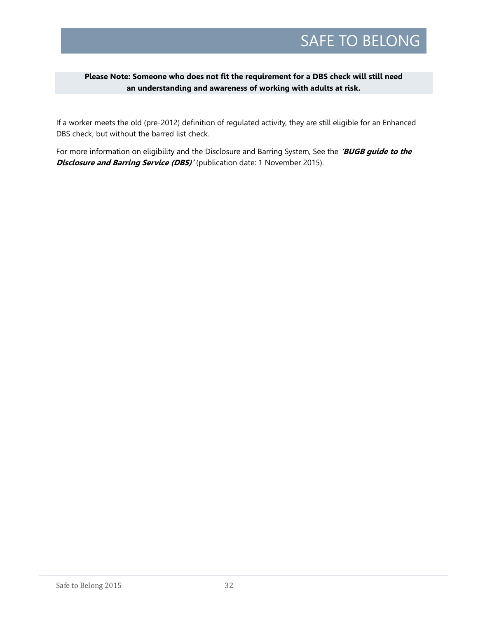### **Please Note: Someone who does not fit the requirement for a DBS check will still need an understanding and awareness of working with adults at risk.**

If a worker meets the old (pre-2012) definition of regulated activity, they are still eligible for an Enhanced DBS check, but without the barred list check.

For more information on eligibility and the Disclosure and Barring System, See the **'BUGB guide to the Disclosure and Barring Service (DBS)'** (publication date: 1 November 2015).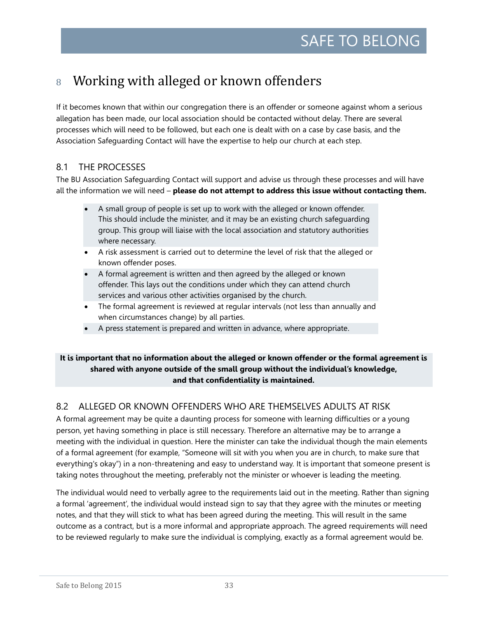# <span id="page-32-0"></span>8 Working with alleged or known offenders

If it becomes known that within our congregation there is an offender or someone against whom a serious allegation has been made, our local association should be contacted without delay. There are several processes which will need to be followed, but each one is dealt with on a case by case basis, and the Association Safeguarding Contact will have the expertise to help our church at each step.

# <span id="page-32-1"></span>8.1 THE PROCESSES

The BU Association Safeguarding Contact will support and advise us through these processes and will have all the information we will need – **please do not attempt to address this issue without contacting them.**

- A small group of people is set up to work with the alleged or known offender. This should include the minister, and it may be an existing church safeguarding group. This group will liaise with the local association and statutory authorities where necessary.
- A risk assessment is carried out to determine the level of risk that the alleged or known offender poses.
- A formal agreement is written and then agreed by the alleged or known offender. This lays out the conditions under which they can attend church services and various other activities organised by the church.
- The formal agreement is reviewed at regular intervals (not less than annually and when circumstances change) by all parties.
- A press statement is prepared and written in advance, where appropriate.

### **It is important that no information about the alleged or known offender or the formal agreement is shared with anyone outside of the small group without the individual's knowledge, and that confidentiality is maintained.**

# <span id="page-32-2"></span>8.2 ALLEGED OR KNOWN OFFENDERS WHO ARE THEMSELVES ADULTS AT RISK

A formal agreement may be quite a daunting process for someone with learning difficulties or a young person, yet having something in place is still necessary. Therefore an alternative may be to arrange a meeting with the individual in question. Here the minister can take the individual though the main elements of a formal agreement (for example, "Someone will sit with you when you are in church, to make sure that everything's okay") in a non-threatening and easy to understand way. It is important that someone present is taking notes throughout the meeting, preferably not the minister or whoever is leading the meeting.

The individual would need to verbally agree to the requirements laid out in the meeting. Rather than signing a formal 'agreement', the individual would instead sign to say that they agree with the minutes or meeting notes, and that they will stick to what has been agreed during the meeting. This will result in the same outcome as a contract, but is a more informal and appropriate approach. The agreed requirements will need to be reviewed regularly to make sure the individual is complying, exactly as a formal agreement would be.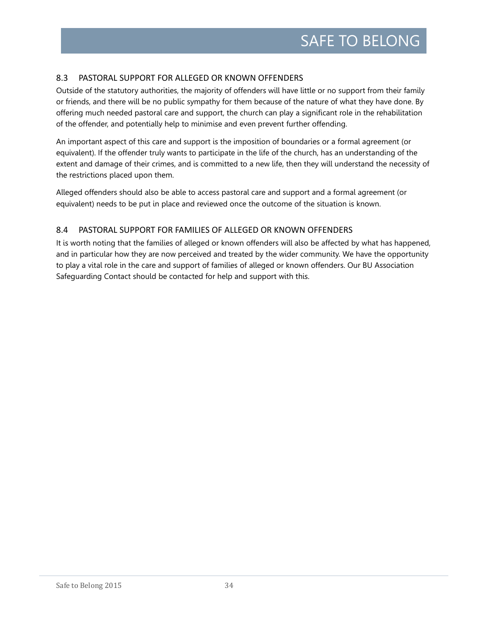## <span id="page-33-0"></span>8.3 PASTORAL SUPPORT FOR ALLEGED OR KNOWN OFFENDERS

Outside of the statutory authorities, the majority of offenders will have little or no support from their family or friends, and there will be no public sympathy for them because of the nature of what they have done. By offering much needed pastoral care and support, the church can play a significant role in the rehabilitation of the offender, and potentially help to minimise and even prevent further offending.

An important aspect of this care and support is the imposition of boundaries or a formal agreement (or equivalent). If the offender truly wants to participate in the life of the church, has an understanding of the extent and damage of their crimes, and is committed to a new life, then they will understand the necessity of the restrictions placed upon them.

Alleged offenders should also be able to access pastoral care and support and a formal agreement (or equivalent) needs to be put in place and reviewed once the outcome of the situation is known.

### <span id="page-33-1"></span>8.4 PASTORAL SUPPORT FOR FAMILIES OF ALLEGED OR KNOWN OFFENDERS

It is worth noting that the families of alleged or known offenders will also be affected by what has happened, and in particular how they are now perceived and treated by the wider community. We have the opportunity to play a vital role in the care and support of families of alleged or known offenders. Our BU Association Safeguarding Contact should be contacted for help and support with this.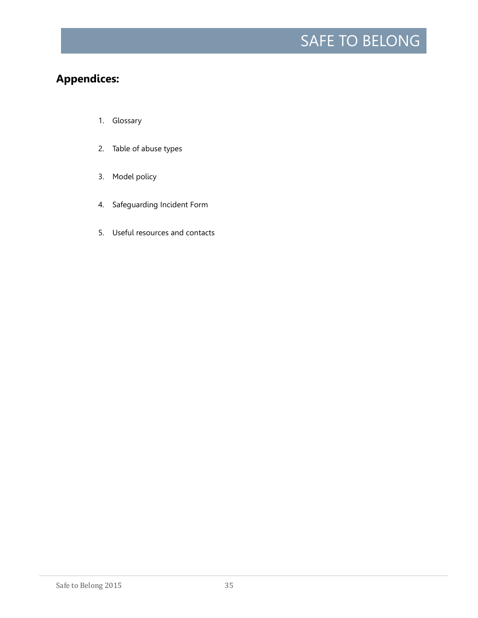# **Appendices:**

- 1. Glossary
- 2. Table of abuse types
- 3. Model policy
- 4. Safeguarding Incident Form
- 5. Useful resources and contacts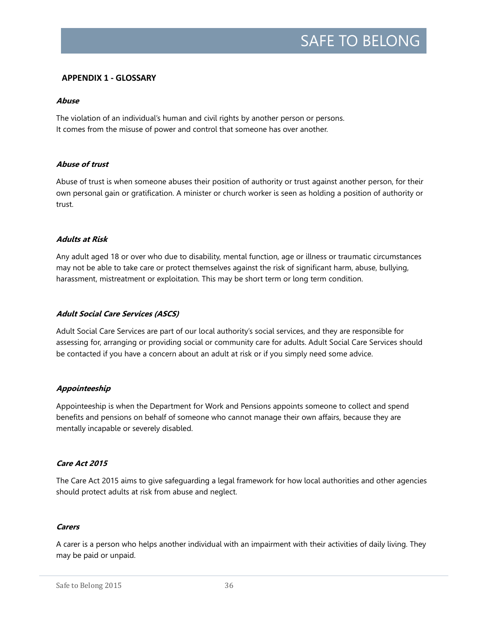### **APPENDIX 1 - GLOSSARY**

#### **Abuse**

The violation of an individual's human and civil rights by another person or persons. It comes from the misuse of power and control that someone has over another.

#### **Abuse of trust**

Abuse of trust is when someone abuses their position of authority or trust against another person, for their own personal gain or gratification. A minister or church worker is seen as holding a position of authority or trust.

#### **Adults at Risk**

Any adult aged 18 or over who due to disability, mental function, age or illness or traumatic circumstances may not be able to take care or protect themselves against the risk of significant harm, abuse, bullying, harassment, mistreatment or exploitation. This may be short term or long term condition.

### **Adult Social Care Services (ASCS)**

Adult Social Care Services are part of our local authority's social services, and they are responsible for assessing for, arranging or providing social or community care for adults. Adult Social Care Services should be contacted if you have a concern about an adult at risk or if you simply need some advice.

### **Appointeeship**

Appointeeship is when the Department for Work and Pensions appoints someone to collect and spend benefits and pensions on behalf of someone who cannot manage their own affairs, because they are mentally incapable or severely disabled.

### **Care Act 2015**

The Care Act 2015 aims to give safeguarding a legal framework for how local authorities and other agencies should protect adults at risk from abuse and neglect.

#### **Carers**

A carer is a person who helps another individual with an impairment with their activities of daily living. They may be paid or unpaid.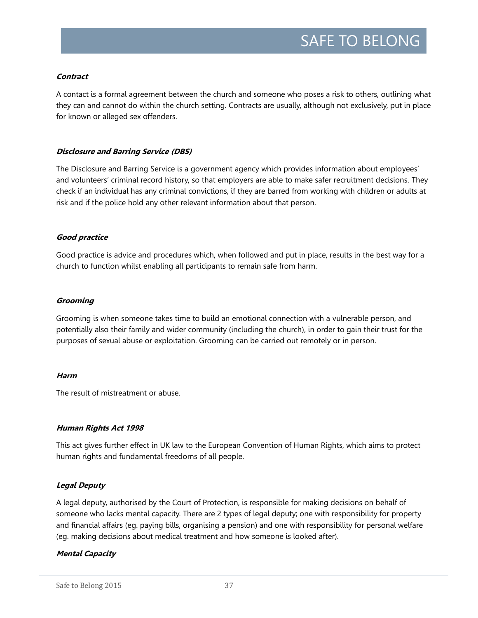### **Contract**

A contact is a formal agreement between the church and someone who poses a risk to others, outlining what they can and cannot do within the church setting. Contracts are usually, although not exclusively, put in place for known or alleged sex offenders.

#### **Disclosure and Barring Service (DBS)**

The Disclosure and Barring Service is a government agency which provides information about employees' and volunteers' criminal record history, so that employers are able to make safer recruitment decisions. They check if an individual has any criminal convictions, if they are barred from working with children or adults at risk and if the police hold any other relevant information about that person.

#### **Good practice**

Good practice is advice and procedures which, when followed and put in place, results in the best way for a church to function whilst enabling all participants to remain safe from harm.

#### **Grooming**

Grooming is when someone takes time to build an emotional connection with a vulnerable person, and potentially also their family and wider community (including the church), in order to gain their trust for the purposes of sexual abuse or exploitation. Grooming can be carried out remotely or in person.

#### **Harm**

The result of mistreatment or abuse.

#### **Human Rights Act 1998**

This act gives further effect in UK law to the European Convention of Human Rights, which aims to protect human rights and fundamental freedoms of all people.

#### **Legal Deputy**

A legal deputy, authorised by the Court of Protection, is responsible for making decisions on behalf of someone who lacks mental capacity. There are 2 types of legal deputy; one with responsibility for property and financial affairs (eg. paying bills, organising a pension) and one with responsibility for personal welfare (eg. making decisions about medical treatment and how someone is looked after).

### **Mental Capacity**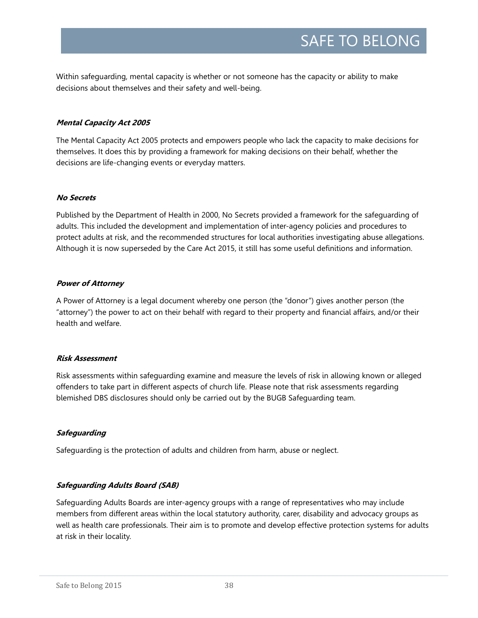Within safeguarding, mental capacity is whether or not someone has the capacity or ability to make decisions about themselves and their safety and well-being.

### **Mental Capacity Act 2005**

The Mental Capacity Act 2005 protects and empowers people who lack the capacity to make decisions for themselves. It does this by providing a framework for making decisions on their behalf, whether the decisions are life-changing events or everyday matters.

### **No Secrets**

Published by the Department of Health in 2000, No Secrets provided a framework for the safeguarding of adults. This included the development and implementation of inter-agency policies and procedures to protect adults at risk, and the recommended structures for local authorities investigating abuse allegations. Although it is now superseded by the Care Act 2015, it still has some useful definitions and information.

### **Power of Attorney**

A Power of Attorney is a legal document whereby one person (the "donor") gives another person (the "attorney") the power to act on their behalf with regard to their property and financial affairs, and/or their health and welfare.

### **Risk Assessment**

Risk assessments within safeguarding examine and measure the levels of risk in allowing known or alleged offenders to take part in different aspects of church life. Please note that risk assessments regarding blemished DBS disclosures should only be carried out by the BUGB Safeguarding team.

### **Safeguarding**

Safeguarding is the protection of adults and children from harm, abuse or neglect.

### **Safeguarding Adults Board (SAB)**

Safeguarding Adults Boards are inter-agency groups with a range of representatives who may include members from different areas within the local statutory authority, carer, disability and advocacy groups as well as health care professionals. Their aim is to promote and develop effective protection systems for adults at risk in their locality.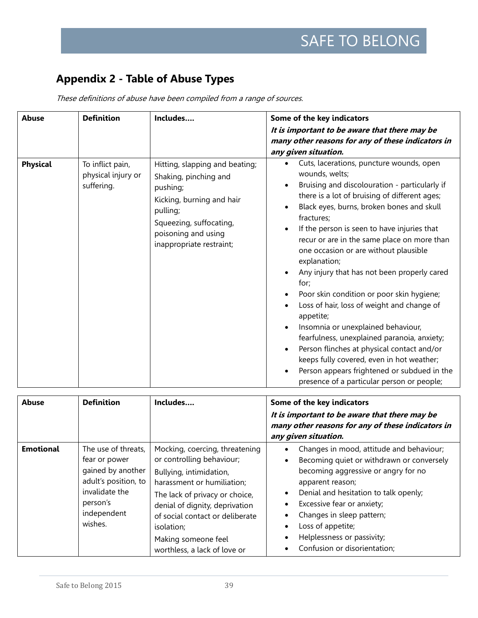# **Appendix 2 - Table of Abuse Types**

| <b>Abuse</b>    | <b>Definition</b>                                    | Includes                                                                                                                                                                                   | Some of the key indicators                                                                                                                                                                                                                                                                                                                                                                                                                                                                                                                                                                                                                                                                                                                                                                                                                                                                                                                                   |
|-----------------|------------------------------------------------------|--------------------------------------------------------------------------------------------------------------------------------------------------------------------------------------------|--------------------------------------------------------------------------------------------------------------------------------------------------------------------------------------------------------------------------------------------------------------------------------------------------------------------------------------------------------------------------------------------------------------------------------------------------------------------------------------------------------------------------------------------------------------------------------------------------------------------------------------------------------------------------------------------------------------------------------------------------------------------------------------------------------------------------------------------------------------------------------------------------------------------------------------------------------------|
|                 |                                                      |                                                                                                                                                                                            | It is important to be aware that there may be<br>many other reasons for any of these indicators in<br>any given situation.                                                                                                                                                                                                                                                                                                                                                                                                                                                                                                                                                                                                                                                                                                                                                                                                                                   |
| <b>Physical</b> | To inflict pain,<br>physical injury or<br>suffering. | Hitting, slapping and beating;<br>Shaking, pinching and<br>pushing;<br>Kicking, burning and hair<br>pulling;<br>Squeezing, suffocating,<br>poisoning and using<br>inappropriate restraint; | Cuts, lacerations, puncture wounds, open<br>$\bullet$<br>wounds, welts;<br>Bruising and discolouration - particularly if<br>$\bullet$<br>there is a lot of bruising of different ages;<br>Black eyes, burns, broken bones and skull<br>$\bullet$<br>fractures;<br>If the person is seen to have injuries that<br>$\bullet$<br>recur or are in the same place on more than<br>one occasion or are without plausible<br>explanation;<br>Any injury that has not been properly cared<br>$\bullet$<br>for;<br>Poor skin condition or poor skin hygiene;<br>$\bullet$<br>Loss of hair, loss of weight and change of<br>$\bullet$<br>appetite;<br>Insomnia or unexplained behaviour,<br>$\bullet$<br>fearfulness, unexplained paranoia, anxiety;<br>Person flinches at physical contact and/or<br>$\bullet$<br>keeps fully covered, even in hot weather;<br>Person appears frightened or subdued in the<br>$\bullet$<br>presence of a particular person or people; |

These definitions of abuse have been compiled from a range of sources.

| <b>Abuse</b>     | <b>Definition</b>                                                                                                                         | Includes                                                                                                                                                                                                                                                                                         | Some of the key indicators<br>It is important to be aware that there may be<br>many other reasons for any of these indicators in<br>any given situation.                                                                                                                                                                                                                                                                                |
|------------------|-------------------------------------------------------------------------------------------------------------------------------------------|--------------------------------------------------------------------------------------------------------------------------------------------------------------------------------------------------------------------------------------------------------------------------------------------------|-----------------------------------------------------------------------------------------------------------------------------------------------------------------------------------------------------------------------------------------------------------------------------------------------------------------------------------------------------------------------------------------------------------------------------------------|
| <b>Emotional</b> | The use of threats,<br>fear or power<br>gained by another<br>adult's position, to<br>invalidate the<br>person's<br>independent<br>wishes. | Mocking, coercing, threatening<br>or controlling behaviour;<br>Bullying, intimidation,<br>harassment or humiliation;<br>The lack of privacy or choice,<br>denial of dignity, deprivation<br>of social contact or deliberate<br>isolation;<br>Making someone feel<br>worthless, a lack of love or | Changes in mood, attitude and behaviour;<br>٠<br>Becoming quiet or withdrawn or conversely<br>$\bullet$<br>becoming aggressive or angry for no<br>apparent reason;<br>Denial and hesitation to talk openly;<br>$\bullet$<br>Excessive fear or anxiety;<br>$\bullet$<br>Changes in sleep pattern;<br>$\bullet$<br>Loss of appetite;<br>$\bullet$<br>Helplessness or passivity;<br>$\bullet$<br>Confusion or disorientation;<br>$\bullet$ |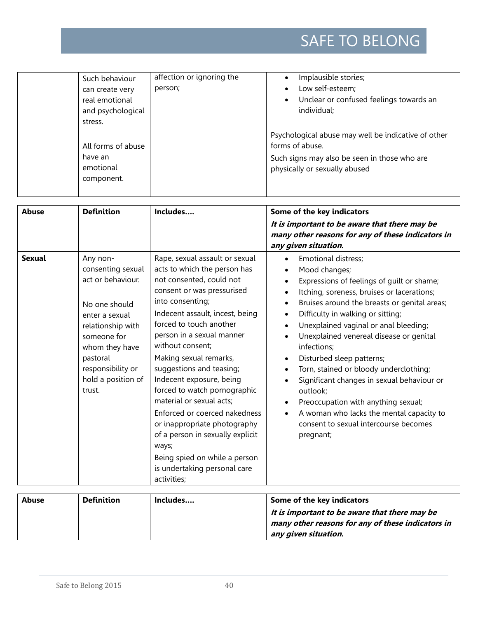| Such behaviour<br>can create very<br>real emotional<br>and psychological | affection or ignoring the<br>person; | Implausible stories;<br>Low self-esteem;<br>$\bullet$<br>Unclear or confused feelings towards an<br>$\bullet$<br>individual; |
|--------------------------------------------------------------------------|--------------------------------------|------------------------------------------------------------------------------------------------------------------------------|
| stress.<br>All forms of abuse                                            |                                      | Psychological abuse may well be indicative of other<br>forms of abuse.                                                       |
| have an<br>emotional<br>component.                                       |                                      | Such signs may also be seen in those who are<br>physically or sexually abused                                                |

| <b>Abuse</b>  | <b>Definition</b>                                                                                                                                                                                            | Includes                                                                                                                                                                                                                                                                                                                                                                                                                                                                                                                                                                                                | Some of the key indicators<br>It is important to be aware that there may be<br>many other reasons for any of these indicators in<br>any given situation.                                                                                                                                                                                                                                                                                                                                                                                                                                                                                                                                             |
|---------------|--------------------------------------------------------------------------------------------------------------------------------------------------------------------------------------------------------------|---------------------------------------------------------------------------------------------------------------------------------------------------------------------------------------------------------------------------------------------------------------------------------------------------------------------------------------------------------------------------------------------------------------------------------------------------------------------------------------------------------------------------------------------------------------------------------------------------------|------------------------------------------------------------------------------------------------------------------------------------------------------------------------------------------------------------------------------------------------------------------------------------------------------------------------------------------------------------------------------------------------------------------------------------------------------------------------------------------------------------------------------------------------------------------------------------------------------------------------------------------------------------------------------------------------------|
| <b>Sexual</b> | Any non-<br>consenting sexual<br>act or behaviour.<br>No one should<br>enter a sexual<br>relationship with<br>someone for<br>whom they have<br>pastoral<br>responsibility or<br>hold a position of<br>trust. | Rape, sexual assault or sexual<br>acts to which the person has<br>not consented, could not<br>consent or was pressurised<br>into consenting;<br>Indecent assault, incest, being<br>forced to touch another<br>person in a sexual manner<br>without consent;<br>Making sexual remarks,<br>suggestions and teasing;<br>Indecent exposure, being<br>forced to watch pornographic<br>material or sexual acts;<br>Enforced or coerced nakedness<br>or inappropriate photography<br>of a person in sexually explicit<br>ways;<br>Being spied on while a person<br>is undertaking personal care<br>activities; | <b>Emotional distress;</b><br>Mood changes;<br>$\bullet$<br>Expressions of feelings of guilt or shame;<br>$\bullet$<br>Itching, soreness, bruises or lacerations;<br>$\bullet$<br>Bruises around the breasts or genital areas;<br>$\bullet$<br>Difficulty in walking or sitting;<br>$\bullet$<br>Unexplained vaginal or anal bleeding;<br>$\bullet$<br>Unexplained venereal disease or genital<br>infections;<br>Disturbed sleep patterns;<br>Torn, stained or bloody underclothing;<br>Significant changes in sexual behaviour or<br>outlook;<br>Preoccupation with anything sexual;<br>A woman who lacks the mental capacity to<br>$\bullet$<br>consent to sexual intercourse becomes<br>pregnant; |
| <b>Abuse</b>  | <b>Definition</b>                                                                                                                                                                                            | Includes                                                                                                                                                                                                                                                                                                                                                                                                                                                                                                                                                                                                | Some of the key indicators                                                                                                                                                                                                                                                                                                                                                                                                                                                                                                                                                                                                                                                                           |

| Abuse | Definition | Includes | Some of the key indicators                        |
|-------|------------|----------|---------------------------------------------------|
|       |            |          | It is important to be aware that there may be     |
|       |            |          | many other reasons for any of these indicators in |
|       |            |          | any given situation.                              |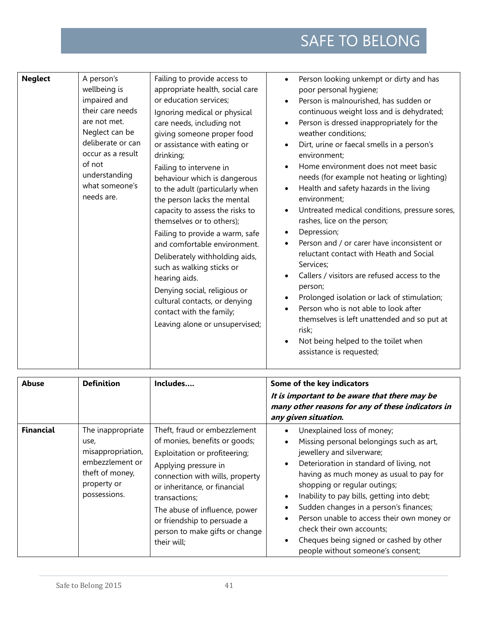| <b>Neglect</b> | A person's<br>wellbeing is<br>impaired and<br>their care needs                                                                      | Failing to provide access to<br>appropriate health, social care<br>or education services;<br>Ignoring medical or physical                                                                                                                                                                                                                                                                                                                                                                                                                                                           | Person looking unkempt or dirty and has<br>$\bullet$<br>poor personal hygiene;<br>Person is malnourished, has sudden or<br>$\bullet$<br>continuous weight loss and is dehydrated;                                                                                                                                                                                                                                                                                                                                                                                                                                                                                                                                                                                                                                                                                                                    |
|----------------|-------------------------------------------------------------------------------------------------------------------------------------|-------------------------------------------------------------------------------------------------------------------------------------------------------------------------------------------------------------------------------------------------------------------------------------------------------------------------------------------------------------------------------------------------------------------------------------------------------------------------------------------------------------------------------------------------------------------------------------|------------------------------------------------------------------------------------------------------------------------------------------------------------------------------------------------------------------------------------------------------------------------------------------------------------------------------------------------------------------------------------------------------------------------------------------------------------------------------------------------------------------------------------------------------------------------------------------------------------------------------------------------------------------------------------------------------------------------------------------------------------------------------------------------------------------------------------------------------------------------------------------------------|
|                | are not met.<br>Neglect can be<br>deliberate or can<br>occur as a result<br>of not<br>understanding<br>what someone's<br>needs are. | care needs, including not<br>giving someone proper food<br>or assistance with eating or<br>drinking;<br>Failing to intervene in<br>behaviour which is dangerous<br>to the adult (particularly when<br>the person lacks the mental<br>capacity to assess the risks to<br>themselves or to others);<br>Failing to provide a warm, safe<br>and comfortable environment.<br>Deliberately withholding aids,<br>such as walking sticks or<br>hearing aids.<br>Denying social, religious or<br>cultural contacts, or denying<br>contact with the family;<br>Leaving alone or unsupervised; | Person is dressed inappropriately for the<br>$\bullet$<br>weather conditions;<br>Dirt, urine or faecal smells in a person's<br>$\bullet$<br>environment;<br>Home environment does not meet basic<br>$\bullet$<br>needs (for example not heating or lighting)<br>Health and safety hazards in the living<br>$\bullet$<br>environment;<br>Untreated medical conditions, pressure sores,<br>$\bullet$<br>rashes, lice on the person;<br>Depression;<br>$\bullet$<br>Person and / or carer have inconsistent or<br>$\bullet$<br>reluctant contact with Heath and Social<br>Services;<br>Callers / visitors are refused access to the<br>$\bullet$<br>person;<br>Prolonged isolation or lack of stimulation;<br>$\bullet$<br>Person who is not able to look after<br>themselves is left unattended and so put at<br>risk;<br>Not being helped to the toilet when<br>$\bullet$<br>assistance is requested; |

| <b>Abuse</b>     | <b>Definition</b>                                                                                                   | Includes                                                                                                                                                                                                                                                                                                                    | Some of the key indicators<br>It is important to be aware that there may be<br>many other reasons for any of these indicators in<br>any given situation.                                                                                                                                                                                                                                                                                                                                                                                        |
|------------------|---------------------------------------------------------------------------------------------------------------------|-----------------------------------------------------------------------------------------------------------------------------------------------------------------------------------------------------------------------------------------------------------------------------------------------------------------------------|-------------------------------------------------------------------------------------------------------------------------------------------------------------------------------------------------------------------------------------------------------------------------------------------------------------------------------------------------------------------------------------------------------------------------------------------------------------------------------------------------------------------------------------------------|
| <b>Financial</b> | The inappropriate<br>use,<br>misappropriation,<br>embezzlement or<br>theft of money,<br>property or<br>possessions. | Theft, fraud or embezzlement<br>of monies, benefits or goods;<br>Exploitation or profiteering;<br>Applying pressure in<br>connection with wills, property<br>or inheritance, or financial<br>transactions;<br>The abuse of influence, power<br>or friendship to persuade a<br>person to make gifts or change<br>their will; | Unexplained loss of money;<br>Missing personal belongings such as art,<br>$\bullet$<br>jewellery and silverware;<br>Deterioration in standard of living, not<br>$\bullet$<br>having as much money as usual to pay for<br>shopping or regular outings;<br>Inability to pay bills, getting into debt;<br>$\bullet$<br>Sudden changes in a person's finances;<br>Person unable to access their own money or<br>$\bullet$<br>check their own accounts;<br>Cheques being signed or cashed by other<br>$\bullet$<br>people without someone's consent; |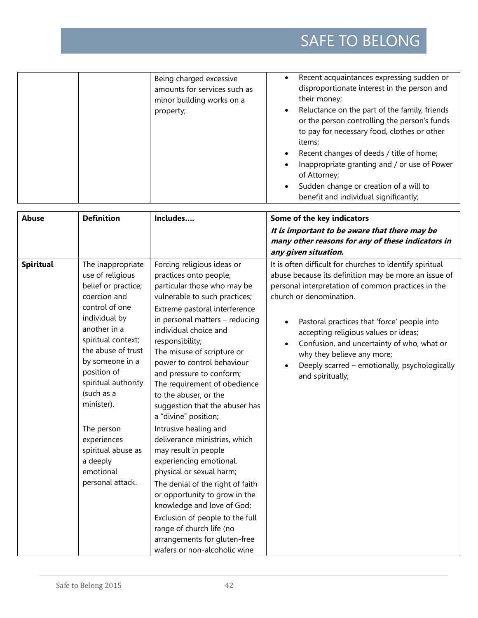|              |                   | Being charged excessive<br>amounts for services such as<br>minor building works on a<br>property; | Recent acquaintances expressing sudden or<br>$\bullet$<br>disproportionate interest in the person and<br>their money;<br>Reluctance on the part of the family, friends<br>$\bullet$<br>or the person controlling the person's funds<br>to pay for necessary food, clothes or other<br>items;<br>Recent changes of deeds / title of home;<br>$\bullet$<br>Inappropriate granting and / or use of Power<br>of Attorney;<br>Sudden change or creation of a will to<br>$\bullet$<br>benefit and individual significantly; |
|--------------|-------------------|---------------------------------------------------------------------------------------------------|-----------------------------------------------------------------------------------------------------------------------------------------------------------------------------------------------------------------------------------------------------------------------------------------------------------------------------------------------------------------------------------------------------------------------------------------------------------------------------------------------------------------------|
| <b>Abuse</b> | <b>Definition</b> | Includes                                                                                          | Some of the key indicators                                                                                                                                                                                                                                                                                                                                                                                                                                                                                            |

|           |                                                                                                                                                                                                                                                                                                                                                                  |                                                                                                                                                                                                                                                                                                                                                                                                                                                                                                                                                                                                                                                                                                                                                           | It is important to be aware that there may be<br>many other reasons for any of these indicators in<br>any given situation.                                                                                                                                                                                                                                                                                                                                                       |
|-----------|------------------------------------------------------------------------------------------------------------------------------------------------------------------------------------------------------------------------------------------------------------------------------------------------------------------------------------------------------------------|-----------------------------------------------------------------------------------------------------------------------------------------------------------------------------------------------------------------------------------------------------------------------------------------------------------------------------------------------------------------------------------------------------------------------------------------------------------------------------------------------------------------------------------------------------------------------------------------------------------------------------------------------------------------------------------------------------------------------------------------------------------|----------------------------------------------------------------------------------------------------------------------------------------------------------------------------------------------------------------------------------------------------------------------------------------------------------------------------------------------------------------------------------------------------------------------------------------------------------------------------------|
| Spiritual | The inappropriate<br>use of religious<br>belief or practice;<br>coercion and<br>control of one<br>individual by<br>another in a<br>spiritual context;<br>the abuse of trust<br>by someone in a<br>position of<br>spiritual authority<br>(such as a<br>minister).<br>The person<br>experiences<br>spiritual abuse as<br>a deeply<br>emotional<br>personal attack. | Forcing religious ideas or<br>practices onto people,<br>particular those who may be<br>vulnerable to such practices;<br>Extreme pastoral interference<br>in personal matters - reducing<br>individual choice and<br>responsibility;<br>The misuse of scripture or<br>power to control behaviour<br>and pressure to conform;<br>The requirement of obedience<br>to the abuser, or the<br>suggestion that the abuser has<br>a "divine" position;<br>Intrusive healing and<br>deliverance ministries, which<br>may result in people<br>experiencing emotional,<br>physical or sexual harm;<br>The denial of the right of faith<br>or opportunity to grow in the<br>knowledge and love of God;<br>Exclusion of people to the full<br>range of church life (no | It is often difficult for churches to identify spiritual<br>abuse because its definition may be more an issue of<br>personal interpretation of common practices in the<br>church or denomination.<br>Pastoral practices that 'force' people into<br>$\bullet$<br>accepting religious values or ideas;<br>Confusion, and uncertainty of who, what or<br>$\bullet$<br>why they believe any more;<br>Deeply scarred - emotionally, psychologically<br>$\bullet$<br>and spiritually; |
|           |                                                                                                                                                                                                                                                                                                                                                                  | arrangements for gluten-free<br>wafers or non-alcoholic wine                                                                                                                                                                                                                                                                                                                                                                                                                                                                                                                                                                                                                                                                                              |                                                                                                                                                                                                                                                                                                                                                                                                                                                                                  |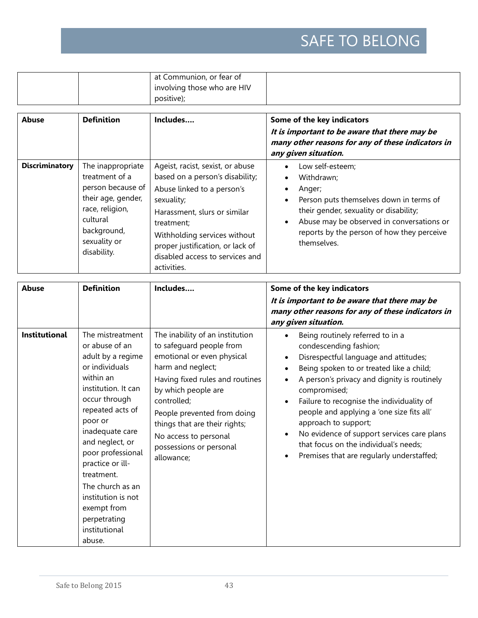|  | at Communion, or fear of    |  |
|--|-----------------------------|--|
|  | involving those who are HIV |  |
|  | positive);                  |  |

| <b>Abuse</b>          | <b>Definition</b>                                                                                                                                           | Includes                                                                                                                                                                                                                                                                            | Some of the key indicators<br>It is important to be aware that there may be<br>many other reasons for any of these indicators in<br>any given situation.                                                                                                                                         |
|-----------------------|-------------------------------------------------------------------------------------------------------------------------------------------------------------|-------------------------------------------------------------------------------------------------------------------------------------------------------------------------------------------------------------------------------------------------------------------------------------|--------------------------------------------------------------------------------------------------------------------------------------------------------------------------------------------------------------------------------------------------------------------------------------------------|
| <b>Discriminatory</b> | The inappropriate<br>treatment of a<br>person because of<br>their age, gender,<br>race, religion,<br>cultural<br>background,<br>sexuality or<br>disability. | Ageist, racist, sexist, or abuse<br>based on a person's disability;<br>Abuse linked to a person's<br>sexuality;<br>Harassment, slurs or similar<br>treatment;<br>Withholding services without<br>proper justification, or lack of<br>disabled access to services and<br>activities. | Low self-esteem;<br>$\bullet$<br>Withdrawn;<br>$\bullet$<br>Anger;<br>٠<br>Person puts themselves down in terms of<br>$\bullet$<br>their gender, sexuality or disability;<br>Abuse may be observed in conversations or<br>$\bullet$<br>reports by the person of how they perceive<br>themselves. |

| <b>Abuse</b>         | <b>Definition</b>                                                                                                                                                                                                                                                                                                                                              | Includes                                                                                                                                                                                                                                                                                                                  | Some of the key indicators<br>It is important to be aware that there may be<br>many other reasons for any of these indicators in<br>any given situation.                                                                                                                                                                                                                                                                                                                          |
|----------------------|----------------------------------------------------------------------------------------------------------------------------------------------------------------------------------------------------------------------------------------------------------------------------------------------------------------------------------------------------------------|---------------------------------------------------------------------------------------------------------------------------------------------------------------------------------------------------------------------------------------------------------------------------------------------------------------------------|-----------------------------------------------------------------------------------------------------------------------------------------------------------------------------------------------------------------------------------------------------------------------------------------------------------------------------------------------------------------------------------------------------------------------------------------------------------------------------------|
| <b>Institutional</b> | The mistreatment<br>or abuse of an<br>adult by a regime<br>or individuals<br>within an<br>institution. It can<br>occur through<br>repeated acts of<br>poor or<br>inadequate care<br>and neglect, or<br>poor professional<br>practice or ill-<br>treatment.<br>The church as an<br>institution is not<br>exempt from<br>perpetrating<br>institutional<br>abuse. | The inability of an institution<br>to safeguard people from<br>emotional or even physical<br>harm and neglect;<br>Having fixed rules and routines<br>by which people are<br>controlled;<br>People prevented from doing<br>things that are their rights;<br>No access to personal<br>possessions or personal<br>allowance; | Being routinely referred to in a<br>condescending fashion;<br>Disrespectful language and attitudes;<br>Being spoken to or treated like a child;<br>A person's privacy and dignity is routinely<br>compromised;<br>Failure to recognise the individuality of<br>$\bullet$<br>people and applying a 'one size fits all'<br>approach to support;<br>No evidence of support services care plans<br>that focus on the individual's needs;<br>Premises that are regularly understaffed; |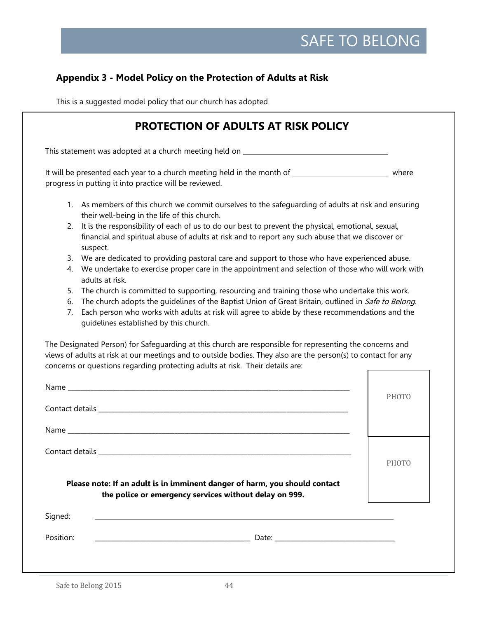# **Appendix 3 - Model Policy on the Protection of Adults at Risk**

This is a suggested model policy that our church has adopted

| <b>PROTECTION OF ADULTS AT RISK POLICY</b>                                                                                                                                                                                                                                                                                                                         |              |
|--------------------------------------------------------------------------------------------------------------------------------------------------------------------------------------------------------------------------------------------------------------------------------------------------------------------------------------------------------------------|--------------|
| This statement was adopted at a church meeting held on __________________________                                                                                                                                                                                                                                                                                  |              |
| It will be presented each year to a church meeting held in the month of ________________________________ where<br>progress in putting it into practice will be reviewed.                                                                                                                                                                                           |              |
| 1. As members of this church we commit ourselves to the safeguarding of adults at risk and ensuring<br>their well-being in the life of this church.                                                                                                                                                                                                                |              |
| It is the responsibility of each of us to do our best to prevent the physical, emotional, sexual,<br>2.<br>financial and spiritual abuse of adults at risk and to report any such abuse that we discover or<br>suspect.                                                                                                                                            |              |
| We are dedicated to providing pastoral care and support to those who have experienced abuse.<br>3.<br>We undertake to exercise proper care in the appointment and selection of those who will work with<br>4.<br>adults at risk.                                                                                                                                   |              |
| The church is committed to supporting, resourcing and training those who undertake this work.<br>5.<br>The church adopts the guidelines of the Baptist Union of Great Britain, outlined in Safe to Belong.<br>6.<br>Each person who works with adults at risk will agree to abide by these recommendations and the<br>7.<br>guidelines established by this church. |              |
| The Designated Person) for Safeguarding at this church are responsible for representing the concerns and<br>views of adults at risk at our meetings and to outside bodies. They also are the person(s) to contact for any<br>concerns or questions regarding protecting adults at risk. Their details are:                                                         |              |
|                                                                                                                                                                                                                                                                                                                                                                    | PHOTO        |
|                                                                                                                                                                                                                                                                                                                                                                    |              |
|                                                                                                                                                                                                                                                                                                                                                                    |              |
|                                                                                                                                                                                                                                                                                                                                                                    | <b>PHOTO</b> |
| Please note: If an adult is in imminent danger of harm, you should contact<br>the police or emergency services without delay on 999.                                                                                                                                                                                                                               |              |
| Signed:                                                                                                                                                                                                                                                                                                                                                            |              |
|                                                                                                                                                                                                                                                                                                                                                                    |              |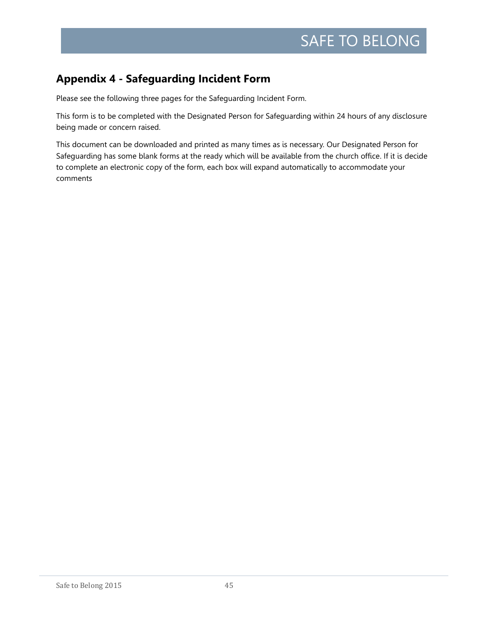# **Appendix 4 - Safeguarding Incident Form**

Please see the following three pages for the Safeguarding Incident Form.

This form is to be completed with the Designated Person for Safeguarding within 24 hours of any disclosure being made or concern raised.

This document can be downloaded and printed as many times as is necessary. Our Designated Person for Safeguarding has some blank forms at the ready which will be available from the church office. If it is decide to complete an electronic copy of the form, each box will expand automatically to accommodate your comments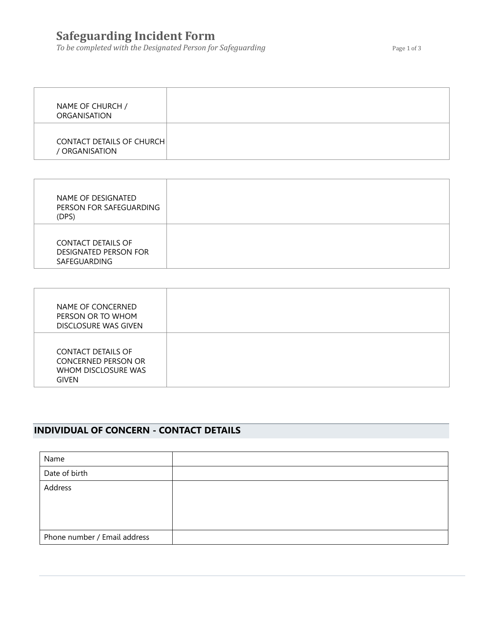# **Safeguarding Incident Form**

**To be completed with the Designated Person for Safeguarding The Community Page 1 of 3** 

| NAME OF CHURCH /<br><b>ORGANISATION</b>            |  |
|----------------------------------------------------|--|
| <b>CONTACT DETAILS OF CHURCH</b><br>/ ORGANISATION |  |

| NAME OF DESIGNATED<br>PERSON FOR SAFEGUARDING<br>(DPS)                    |  |
|---------------------------------------------------------------------------|--|
| <b>CONTACT DETAILS OF</b><br><b>DESIGNATED PERSON FOR</b><br>SAFEGUARDING |  |

| NAME OF CONCERNED<br>PERSON OR TO WHOM<br>DISCLOSURE WAS GIVEN                                 |  |
|------------------------------------------------------------------------------------------------|--|
| <b>CONTACT DETAILS OF</b><br><b>CONCERNED PERSON OR</b><br>WHOM DISCLOSURE WAS<br><b>GIVEN</b> |  |

# **INDIVIDUAL OF CONCERN - CONTACT DETAILS**

| Name                         |  |
|------------------------------|--|
| Date of birth                |  |
| Address                      |  |
|                              |  |
|                              |  |
| Phone number / Email address |  |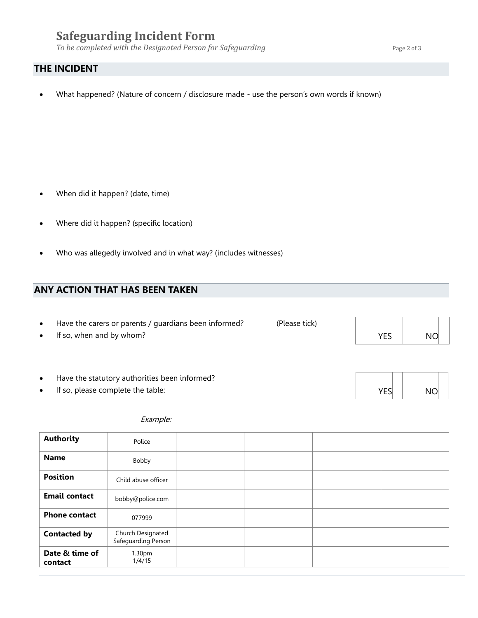# **Safeguarding Incident Form**

*To be completed with the Designated Person for Safeguarding* Page 2 of 3

### **THE INCIDENT**

• What happened? (Nature of concern / disclosure made - use the person's own words if known)

- When did it happen? (date, time)
- Where did it happen? (specific location)
- Who was allegedly involved and in what way? (includes witnesses)

### **ANY ACTION THAT HAS BEEN TAKEN**

- Have the carers or parents / guardians been informed? (Please tick)
- If so, when and by whom?
- Have the statutory authorities been informed?
- If so, please complete the table:

### Example:

| <b>Authority</b>          | Police                                   |  |  |
|---------------------------|------------------------------------------|--|--|
| <b>Name</b>               | Bobby                                    |  |  |
| <b>Position</b>           | Child abuse officer                      |  |  |
| <b>Email contact</b>      | bobby@police.com                         |  |  |
| <b>Phone contact</b>      | 077999                                   |  |  |
| <b>Contacted by</b>       | Church Designated<br>Safeguarding Person |  |  |
| Date & time of<br>contact | 1.30pm<br>1/4/15                         |  |  |

| YES | <b>NO</b> |  |
|-----|-----------|--|

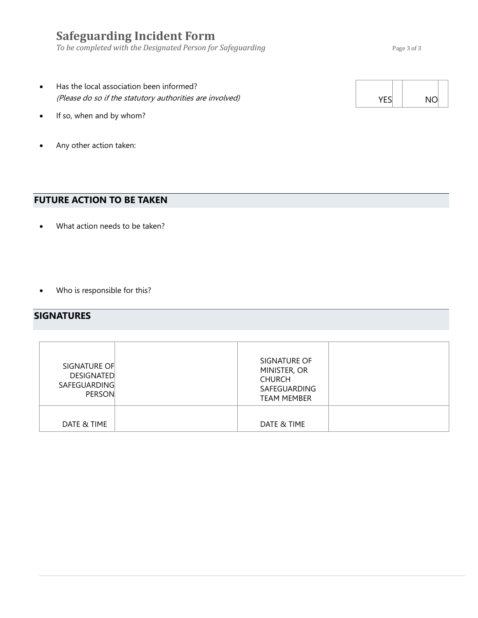# **Safeguarding Incident Form**

*To be completed with the Designated Person for Safeguarding* Page 3 of 3

- Has the local association been informed? (Please do so if the statutory authorities are involved)
- If so, when and by whom?
- Any other action taken:

# **FUTURE ACTION TO BE TAKEN**

- What action needs to be taken?
- Who is responsible for this?

### **SIGNATURES**

| SIGNATURE OF<br><b>DESIGNATED</b><br><b>SAFEGUARDING</b><br><b>PERSON</b> | SIGNATURE OF<br>MINISTER, OR<br><b>CHURCH</b><br>SAFEGUARDING<br><b>TEAM MEMBER</b> |  |
|---------------------------------------------------------------------------|-------------------------------------------------------------------------------------|--|
| DATE & TIME                                                               | DATE & TIME                                                                         |  |

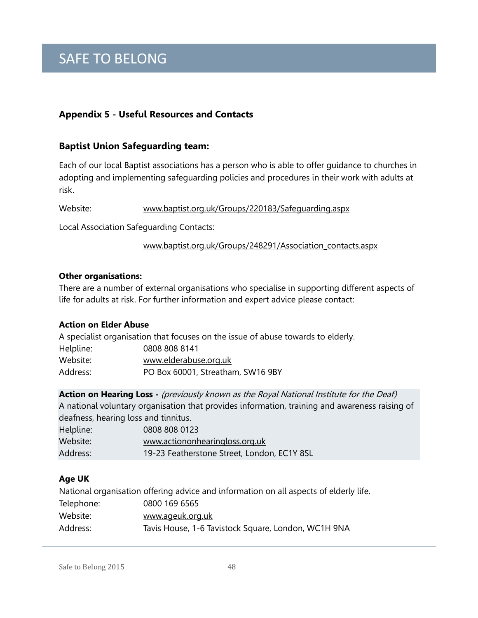# **Appendix 5 - Useful Resources and Contacts**

# **Baptist Union Safeguarding team:**

Each of our local Baptist associations has a person who is able to offer guidance to churches in adopting and implementing safeguarding policies and procedures in their work with adults at risk.

Website: [www.baptist.org.uk/Groups/220183/Safeguarding.aspx](http://www.baptist.org.uk/Groups/220183/Safeguarding.aspx) 

Local Association Safeguarding Contacts:

www.baptist.org.uk/Groups/248291/Association\_contacts.aspx

### **Other organisations:**

There are a number of external organisations who specialise in supporting different aspects of life for adults at risk. For further information and expert advice please contact:

### **Action on Elder Abuse**

A specialist organisation that focuses on the issue of abuse towards to elderly. Helpline: 0808 808 8141 Website: [www.elderabuse.org.uk](http://www.elderabuse.org.uk/) Address: PO Box 60001, Streatham, SW16 9BY

**Action on Hearing Loss -** (previously known as the Royal National Institute for the Deaf) A national voluntary organisation that provides information, training and awareness raising of deafness, hearing loss and tinnitus.

| Helpline: | 0808 808 0123                               |
|-----------|---------------------------------------------|
| Website:  | www.actiononhearingloss.org.uk              |
| Address:  | 19-23 Featherstone Street, London, EC1Y 8SL |

### **Age UK**

National organisation offering advice and information on all aspects of elderly life. Telephone: 0800 169 6565 Website: [www.ageuk.org.uk](http://www.ageuk.org.uk/) Address: Tavis House, 1-6 Tavistock Square, London, WC1H 9NA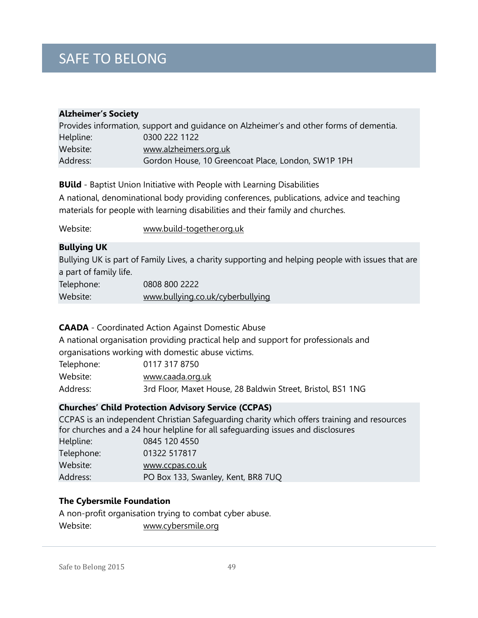# **Alzheimer's Society** Provides information, support and guidance on Alzheimer's and other forms of dementia. Helpline: 0300 222 1122 Website: [www.alzheimers.org.uk](http://www.alzheimers.org.uk/) Address: Gordon House, 10 Greencoat Place, London, SW1P 1PH

**BUild** - Baptist Union Initiative with People with Learning Disabilities

A national, denominational body providing conferences, publications, advice and teaching materials for people with learning disabilities and their family and churches.

Website: [www.build-together.org.uk](http://www.build-together.org.uk/)

### **Bullying UK**

Bullying UK is part of Family Lives, a charity supporting and helping people with issues that are a part of family life.

| Telephone: | 0808 800 2222                    |
|------------|----------------------------------|
| Website:   | www.bullying.co.uk/cyberbullying |

### **CAADA** - Coordinated Action Against Domestic Abuse

A national organisation providing practical help and support for professionals and organisations working with domestic abuse victims.

| Telephone: | 0117 317 8750                                               |
|------------|-------------------------------------------------------------|
| Website:   | www.caada.org.uk                                            |
| Address:   | 3rd Floor, Maxet House, 28 Baldwin Street, Bristol, BS1 1NG |

### **Churches' Child Protection Advisory Service (CCPAS)**

CCPAS is an independent Christian Safeguarding charity which offers training and resources for churches and a 24 hour helpline for all safeguarding issues and disclosures

| Helpline:  | 0845 120 4550                      |
|------------|------------------------------------|
| Telephone: | 01322 517817                       |
| Website:   | www.ccpas.co.uk                    |
| Address:   | PO Box 133, Swanley, Kent, BR8 7UQ |

### **The Cybersmile Foundation**

A non-profit organisation trying to combat cyber abuse. Website: [www.cybersmile.org](http://www.cybersmile.org/)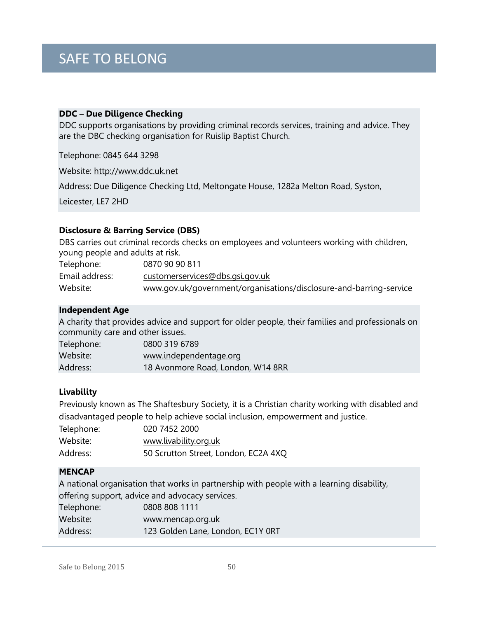### **DDC – Due Diligence Checking**

DDC supports organisations by providing criminal records services, training and advice. They are the DBC checking organisation for Ruislip Baptist Church.

Telephone: 0845 644 3298

Website: [http://www.ddc.uk.net](http://www.ddc.uk.net/)

Address: Due Diligence Checking Ltd, Meltongate House, 1282a Melton Road, Syston,

Leicester, LE7 2HD

### **Disclosure & Barring Service (DBS)**

DBS carries out criminal records checks on employees and volunteers working with children, young people and adults at risk.

| Telephone:     | 0870 90 90 811                                                     |
|----------------|--------------------------------------------------------------------|
| Email address: | <u>customerservices@dbs.gsi.gov.uk</u>                             |
| Website:       | www.gov.uk/government/organisations/disclosure-and-barring-service |

### **Independent Age**

A charity that provides advice and support for older people, their families and professionals on community care and other issues.

| Telephone: | 0800 319 6789                     |
|------------|-----------------------------------|
| Website:   | www.independentage.org            |
| Address:   | 18 Avonmore Road, London, W14 8RR |

### **Livability**

Previously known as The Shaftesbury Society, it is a Christian charity working with disabled and disadvantaged people to help achieve social inclusion, empowerment and justice.

| Telephone: | 020 7452 2000                        |
|------------|--------------------------------------|
| Website:   | www.livability.org.uk                |
| Address:   | 50 Scrutton Street, London, EC2A 4XQ |

### **MENCAP**

A national organisation that works in partnership with people with a learning disability, offering support, advice and advocacy services.

| Telephone: | 0808 808 1111                     |
|------------|-----------------------------------|
| Website:   | www.mencap.org.uk                 |
| Address:   | 123 Golden Lane, London, EC1Y 0RT |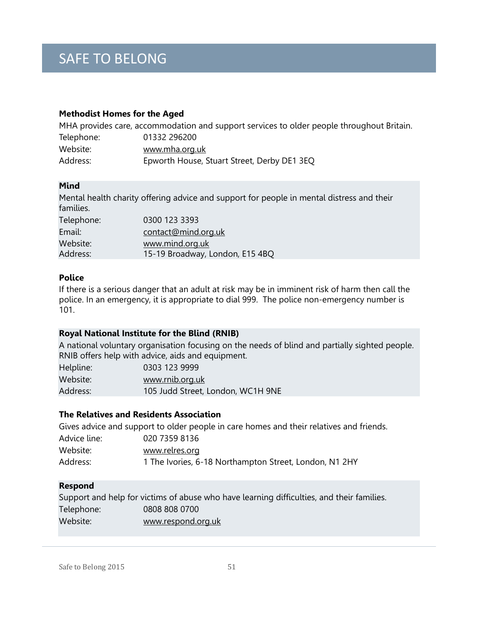### **Methodist Homes for the Aged**

|            | MHA provides care, accommodation and support services to older people throughout Britain. |
|------------|-------------------------------------------------------------------------------------------|
| Telephone: | 01332 296200                                                                              |
| Website:   | www.mha.org.uk                                                                            |
| Address:   | Epworth House, Stuart Street, Derby DE1 3EQ                                               |

### **Mind**

Mental health charity offering advice and support for people in mental distress and their families.

| Telephone: | 0300 123 3393                   |
|------------|---------------------------------|
| Email:     | contact@mind.org.uk             |
| Website:   | www.mind.org.uk                 |
| Address:   | 15-19 Broadway, London, E15 4BQ |
|            |                                 |

### **Police**

If there is a serious danger that an adult at risk may be in imminent risk of harm then call the police. In an emergency, it is appropriate to dial 999. The police non-emergency number is 101.

### **Royal National Institute for the Blind (RNIB)**

A national voluntary organisation focusing on the needs of blind and partially sighted people. RNIB offers help with advice, aids and equipment.

| Helpline: | 0303 123 9999                     |
|-----------|-----------------------------------|
| Website:  | www.rnib.org.uk                   |
| Address:  | 105 Judd Street, London, WC1H 9NE |

### **The Relatives and Residents Association**

Gives advice and support to older people in care homes and their relatives and friends. Advice line: 020 7359 8136 Website: [www.relres.org](http://www.relres.org/) Address: 1 The Ivories, 6-18 Northampton Street, London, N1 2HY

### **Respond**

|            | Support and help for victims of abuse who have learning difficulties, and their families. |
|------------|-------------------------------------------------------------------------------------------|
| Telephone: | 0808 808 0700                                                                             |
| Website:   | www.respond.org.uk                                                                        |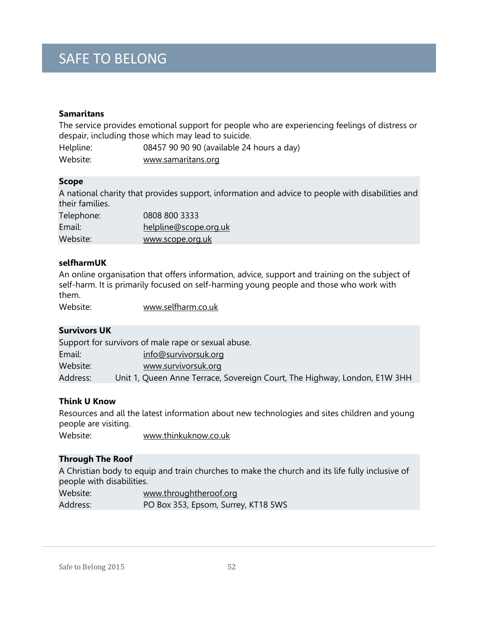### **Samaritans**

The service provides emotional support for people who are experiencing feelings of distress or despair, including those which may lead to suicide.

| Helpline: | 08457 90 90 90 (available 24 hours a day) |
|-----------|-------------------------------------------|
| Website:  | www.samaritans.org                        |

### **Scope**

A national charity that provides support, information and advice to people with disabilities and their families.

| Telephone: | 0808 800 3333         |
|------------|-----------------------|
| Email:     | helpline@scope.org.uk |
| Website:   | www.scope.org.uk      |

### **selfharmUK**

An online organisation that offers information, advice, support and training on the subject of self-harm. It is primarily focused on self-harming young people and those who work with them.

Website: [www.selfharm.co.uk](http://www.selfharm.co.uk/)

### **Survivors UK**

Support for survivors of male rape or sexual abuse. Email: [info@survivorsuk.org](mailto:info@survivorsuk.org) Website: [www.survivorsuk.org](http://www.survivorsuk.org/) Address: Unit 1, Queen Anne Terrace, Sovereign Court, The Highway, London, E1W 3HH

### **Think U Know**

Resources and all the latest information about new technologies and sites children and young people are visiting.

Website: [www.thinkuknow.co.uk](http://www.thinkuknow.co.uk/)

### **Through The Roof**

A Christian body to equip and train churches to make the church and its life fully inclusive of people with disabilities.

| Website: | www.throughtheroof.org              |
|----------|-------------------------------------|
| Address: | PO Box 353, Epsom, Surrey, KT18 5WS |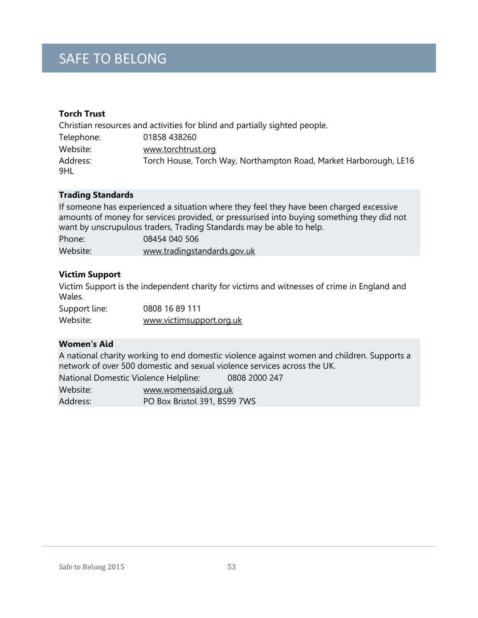# **Torch Trust**

|                 | Christian resources and activities for blind and partially sighted people. |
|-----------------|----------------------------------------------------------------------------|
| Telephone:      | 01858 438260                                                               |
| Website:        | www.torchtrust.org                                                         |
| Address:<br>9HL | Torch House, Torch Way, Northampton Road, Market Harborough, LE16          |

### **Trading Standards**

If someone has experienced a situation where they feel they have been charged excessive amounts of money for services provided, or pressurised into buying something they did not want by unscrupulous traders, Trading Standards may be able to help.

| Phone:   | 08454 040 506               |
|----------|-----------------------------|
| Website: | www.tradingstandards.gov.uk |

### **Victim Support**

Victim Support is the independent charity for victims and witnesses of crime in England and Wales.

| Support line: | 0808 16 89 111           |
|---------------|--------------------------|
| Website:      | www.victimsupport.org.uk |

### **Women's Aid**

A national charity working to end domestic violence against women and children. Supports a network of over 500 domestic and sexual violence services across the UK.

| National Domestic Violence Helpline: |                              | 0808 2000 247 |
|--------------------------------------|------------------------------|---------------|
| Website:                             | www.womensaid.org.uk         |               |
| Address:                             | PO Box Bristol 391, BS99 7WS |               |